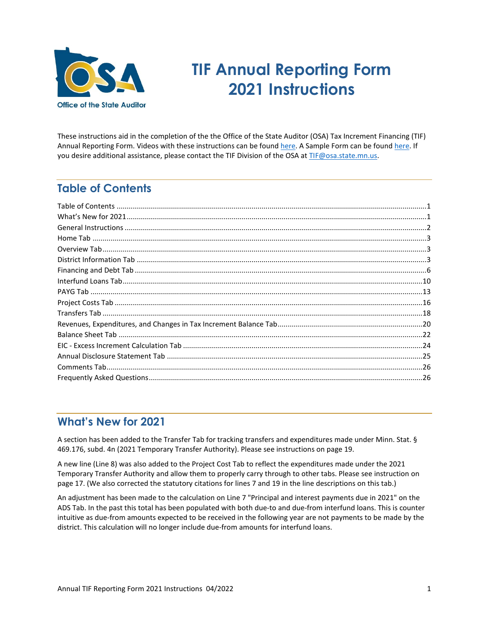

# **TIF Annual Reporting Form 2021 Instructions**

These instructions aid in the completion of the the Office of the State Auditor (OSA) Tax Increment Financing (TIF) Annual Reporting Form. [Videos](http://www.osa.state.mn.us/default.aspx?page=trainingopportunities) with these instructions can be foun[d here.](https://www.osa.state.mn.us/training-guidance/training/training-videos/) A [Sample Form](https://www.auditor.state.mn.us/default.aspx?page=tifforms) can be found [here.](https://www.osa.state.mn.us/forms-deadlines/forms/tif-forms/) If you desire additional assistance, please contact the TIF Division of the OSA at [TIF@osa.state.mn.us.](mailto:tif@osa.state.mn.us) 

# <span id="page-0-0"></span>**Table of Contents**

# <span id="page-0-1"></span>**What's New for 2021**

A section has been added to the Transfer Tab for tracking transfers and expenditures made under Minn. Stat. § 469.176, subd. 4n (2021 Temporary Transfer Authority). Please see instructions on page 19.

A new line (Line 8) was also added to the Project Cost Tab to reflect the expenditures made under the 2021 Temporary Transfer Authority and allow them to properly carry through to other tabs. Please see instruction on page 17. (We also corrected the statutory citations for lines 7 and 19 in the line descriptions on this tab.)

An adjustment has been made to the calculation on Line 7 "Principal and interest payments due in 2021" on the ADS Tab. In the past this total has been populated with both due-to and due-from interfund loans. This is counter intuitive as due-from amounts expected to be received in the following year are not payments to be made by the district. This calculation will no longer include due-from amounts for interfund loans.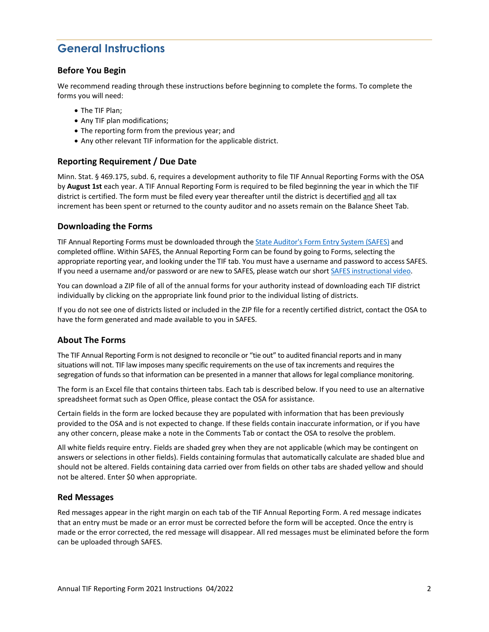# <span id="page-1-0"></span>**General Instructions**

# **Before You Begin**

We recommend reading through these instructions before beginning to complete the forms. To complete the forms you will need:

- The TIF Plan;
- Any TIF plan modifications;
- The reporting form from the previous year; and
- Any other relevant TIF information for the applicable district.

# **Reporting Requirement / Due Date**

Minn. Stat. § 469.175, subd. 6, requires a development authority to file TIF Annual Reporting Forms with the OSA by **August 1st** each year. A TIF Annual Reporting Form is required to be filed beginning the year in which the TIF district is certified. The form must be filed every year thereafter until the district is decertified and all tax increment has been spent or returned to the county auditor and no assets remain on the Balance Sheet Tab.

# **Downloading the Forms**

TIF Annual Reporting Forms must be downloaded through th[e State Auditor's Form Entry System \(SAFES\)](https://safes.osa.state.mn.us/) and completed offline. Within SAFES, the Annual Reporting Form can be found by going to Forms, selecting the appropriate reporting year, and looking under the TIF tab. You must have a username and password to access SAFES. If you need a username and/or password or are new to SAFES, please watch our shor[t SAFES instructional video.](https://www.osa.state.mn.us/forms-deadlines/submit-forms/safes-training-video/) 

You can download a ZIP file of all of the annual forms for your authority instead of downloading each TIF district individually by clicking on the appropriate link found prior to the individual listing of districts.

If you do not see one of districts listed or included in the ZIP file for a recently certified district, contact the OSA to have the form generated and made available to you in SAFES.

#### **About The Forms**

The TIF Annual Reporting Form is not designed to reconcile or "tie out" to audited financial reports and in many situations will not. TIF law imposes many specific requirements on the use of tax increments and requires the segregation of funds so that information can be presented in a manner that allows for legal compliance monitoring.

The form is an Excel file that contains thirteen tabs. Each tab is described below. If you need to use an alternative spreadsheet format such as Open Office, please contact the OSA for assistance.

Certain fields in the form are locked because they are populated with information that has been previously provided to the OSA and is not expected to change. If these fields contain inaccurate information, or if you have any other concern, please make a note in the Comments Tab or contact the OSA to resolve the problem.

All white fields require entry. Fields are shaded grey when they are not applicable (which may be contingent on answers or selections in other fields). Fields containing formulas that automatically calculate are shaded blue and should not be altered. Fields containing data carried over from fields on other tabs are shaded yellow and should not be altered. Enter \$0 when appropriate.

#### **Red Messages**

Red messages appear in the right margin on each tab of the TIF Annual Reporting Form. A red message indicates that an entry must be made or an error must be corrected before the form will be accepted. Once the entry is made or the error corrected, the red message will disappear. All red messages must be eliminated before the form can be uploaded through SAFES.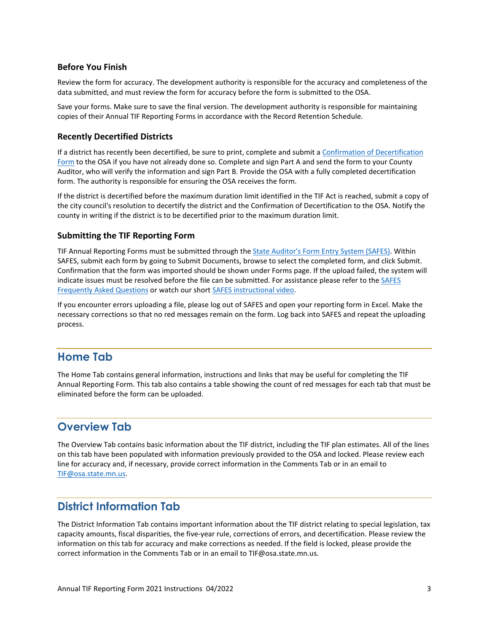# **Before You Finish**

Review the form for accuracy. The development authority is responsible for the accuracy and completeness of the data submitted, and must review the form for accuracy before the form is submitted to the OSA.

Save your forms. Make sure to save the final version. The development authority is responsible for maintaining copies of their Annual TIF Reporting Forms in accordance with the Record Retention Schedule.

#### **Recently Decertified Districts**

If a district has recently been decertified, be sure to print, complete and submit a Confirmation of Decertification [Form](https://www.osa.state.mn.us/forms-deadlines/forms/tif-forms/) to the OSA if you have not already done so. Complete and sign Part A and send the form to your County Auditor, who will verify the information and sign Part B. Provide the OSA with a fully completed decertification form. The authority is responsible for ensuring the OSA receives the form.

If the district is decertified before the maximum duration limit identified in the TIF Act is reached, submit a copy of the city council's resolution to decertify the district and the Confirmation of Decertification to the OSA. Notify the county in writing if the district is to be decertified prior to the maximum duration limit.

#### **Submitting the TIF Reporting Form**

TIF Annual Reporting Forms must be submitted through the [State Auditor's Form Entry System \(SAFES\).](https://safes.osa.state.mn.us/) Within SAFES, submit each form by going to Submit Documents, browse to select the completed form, and click Submit. Confirmation that the form was imported should be shown under Forms page. If the upload failed, the system will indicate issues must be resolved before the file can be submitted. For assistance please refer to the SAFES [Frequently Asked Questions](https://www.osa.state.mn.us/training-guidance/guidance/frequently-asked-questions/?category=safes) or watch our short [SAFES instructional video.](https://www.osa.state.mn.us/forms-deadlines/submit-forms/safes-training-video/)

If you encounter errors uploading a file, please log out of SAFES and open your reporting form in Excel. Make the necessary corrections so that no red messages remain on the form. Log back into SAFES and repeat the uploading process.

# <span id="page-2-0"></span>**Home Tab**

The Home Tab contains general information, instructions and links that may be useful for completing the TIF Annual Reporting Form. This tab also contains a table showing the count of red messages for each tab that must be eliminated before the form can be uploaded.

# <span id="page-2-1"></span>**Overview Tab**

The Overview Tab contains basic information about the TIF district, including the TIF plan estimates. All of the lines on this tab have been populated with information previously provided to the OSA and locked. Please review each line for accuracy and, if necessary, provide correct information in the Comments Tab or in an email to [TIF@osa.state.mn.us.](file://FS18/USERS/USERS/TIF/REPORTING/2020%20Reporting/Forms%20and%20Instructions/TIF@osa.state.mn.us) 

# <span id="page-2-2"></span>**District Information Tab**

The District Information Tab contains important information about the TIF district relating to special legislation, tax capacity amounts, fiscal disparities, the five-year rule, corrections of errors, and decertification. Please review the information on this tab for accuracy and make corrections as needed. If the field is locked, please provide the correct information in the Comments Tab or in an email to TIF@osa.state.mn.us.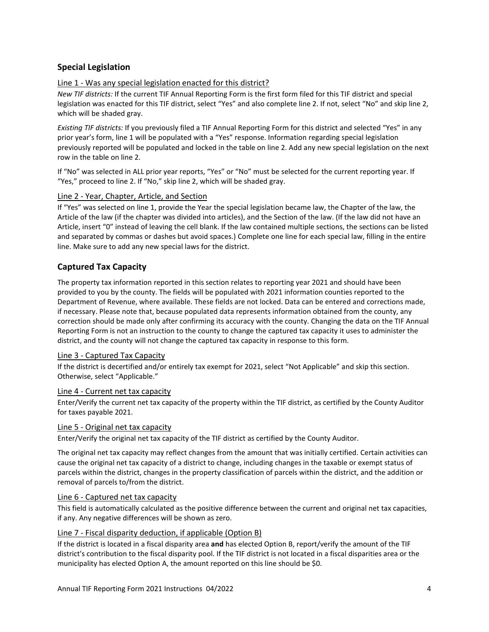# **Special Legislation**

# Line 1 - Was any special legislation enacted for this district?

*New TIF districts:* If the current TIF Annual Reporting Form is the first form filed for this TIF district and special legislation was enacted for this TIF district, select "Yes" and also complete line 2. If not, select "No" and skip line 2, which will be shaded gray.

*Existing TIF districts:* If you previously filed a TIF Annual Reporting Form for this district and selected "Yes" in any prior year's form, line 1 will be populated with a "Yes" response. Information regarding special legislation previously reported will be populated and locked in the table on line 2. Add any new special legislation on the next row in the table on line 2.

If "No" was selected in ALL prior year reports, "Yes" or "No" must be selected for the current reporting year. If "Yes," proceed to line 2. If "No," skip line 2, which will be shaded gray.

#### Line 2 - Year, Chapter, Article, and Section

If "Yes" was selected on line 1, provide the Year the special legislation became law, the Chapter of the law, the Article of the law (if the chapter was divided into articles), and the Section of the law. (If the law did not have an Article, insert "0" instead of leaving the cell blank. If the law contained multiple sections, the sections can be listed and separated by commas or dashes but avoid spaces.) Complete one line for each special law, filling in the entire line. Make sure to add any new special laws for the district.

# **Captured Tax Capacity**

The property tax information reported in this section relates to reporting year 2021 and should have been provided to you by the county. The fields will be populated with 2021 information counties reported to the Department of Revenue, where available. These fields are not locked. Data can be entered and corrections made, if necessary. Please note that, because populated data represents information obtained from the county, any correction should be made only after confirming its accuracy with the county. Changing the data on the TIF Annual Reporting Form is not an instruction to the county to change the captured tax capacity it uses to administer the district, and the county will not change the captured tax capacity in response to this form.

#### Line 3 - Captured Tax Capacity

If the district is decertified and/or entirely tax exempt for 2021, select "Not Applicable" and skip this section. Otherwise, select "Applicable."

#### Line 4 - Current net tax capacity

Enter/Verify the current net tax capacity of the property within the TIF district, as certified by the County Auditor for taxes payable 2021.

#### Line 5 - Original net tax capacity

Enter/Verify the original net tax capacity of the TIF district as certified by the County Auditor.

The original net tax capacity may reflect changes from the amount that was initially certified. Certain activities can cause the original net tax capacity of a district to change, including changes in the taxable or exempt status of parcels within the district, changes in the property classification of parcels within the district, and the addition or removal of parcels to/from the district.

#### Line 6 - Captured net tax capacity

This field is automatically calculated as the positive difference between the current and original net tax capacities, if any. Any negative differences will be shown as zero.

#### Line 7 - Fiscal disparity deduction, if applicable (Option B)

If the district is located in a fiscal disparity area **and** has elected Option B, report/verify the amount of the TIF district's contribution to the fiscal disparity pool. If the TIF district is not located in a fiscal disparities area or the municipality has elected Option A, the amount reported on this line should be \$0.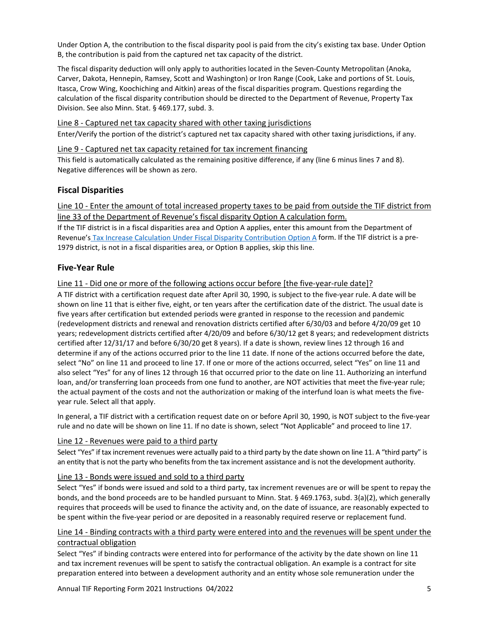Under Option A, the contribution to the fiscal disparity pool is paid from the city's existing tax base. Under Option B, the contribution is paid from the captured net tax capacity of the district.

The fiscal disparity deduction will only apply to authorities located in the Seven-County Metropolitan (Anoka, Carver, Dakota, Hennepin, Ramsey, Scott and Washington) or Iron Range (Cook, Lake and portions of St. Louis, Itasca, Crow Wing, Koochiching and Aitkin) areas of the fiscal disparities program. Questions regarding the calculation of the fiscal disparity contribution should be directed to the Department of Revenue, Property Tax Division. See also Minn. Stat. § 469.177, subd. 3.

#### Line 8 - Captured net tax capacity shared with other taxing jurisdictions

Enter/Verify the portion of the district's captured net tax capacity shared with other taxing jurisdictions, if any.

#### Line 9 - Captured net tax capacity retained for tax increment financing

This field is automatically calculated as the remaining positive difference, if any (line 6 minus lines 7 and 8). Negative differences will be shown as zero.

# **Fiscal Disparities**

Line 10 - Enter the amount of total increased property taxes to be paid from outside the TIF district from line 33 of the Department of Revenue's fiscal disparity Option A calculation form.

If the TIF district is in a fiscal disparities area and Option A applies, enter this amount from the Department of Revenue's [Tax Increase Calculation Under Fiscal Disparity Contribution Option A](https://www.revenue.state.mn.us/tax-increment-financing-tif-fiscal-disparity-option-calculation) form. If the TIF district is a pre-1979 district, is not in a fiscal disparities area, or Option B applies, skip this line.

# **Five-Year Rule**

# Line 11 - Did one or more of the following actions occur before [the five-year-rule date]?

A TIF district with a certification request date after April 30, 1990, is subject to the five-year rule. A date will be shown on line 11 that is either five, eight, or ten years after the certification date of the district. The usual date is five years after certification but extended periods were granted in response to the recession and pandemic (redevelopment districts and renewal and renovation districts certified after 6/30/03 and before 4/20/09 get 10 years; redevelopment districts certified after 4/20/09 and before 6/30/12 get 8 years; and redevelopment districts certified after 12/31/17 and before 6/30/20 get 8 years). If a date is shown, review lines 12 through 16 and determine if any of the actions occurred prior to the line 11 date. If none of the actions occurred before the date, select "No" on line 11 and proceed to line 17. If one or more of the actions occurred, select "Yes" on line 11 and also select "Yes" for any of lines 12 through 16 that occurred prior to the date on line 11. Authorizing an interfund loan, and/or transferring loan proceeds from one fund to another, are NOT activities that meet the five-year rule; the actual payment of the costs and not the authorization or making of the interfund loan is what meets the fiveyear rule. Select all that apply.

In general, a TIF district with a certification request date on or before April 30, 1990, is NOT subject to the five-year rule and no date will be shown on line 11. If no date is shown, select "Not Applicable" and proceed to line 17.

#### Line 12 - Revenues were paid to a third party

Select "Yes" if tax increment revenues were actually paid to a third party by the date shown on line 11. A "third party" is an entity that is not the party who benefits from the tax increment assistance and is not the development authority.

#### Line 13 - Bonds were issued and sold to a third party

Select "Yes" if bonds were issued and sold to a third party, tax increment revenues are or will be spent to repay the bonds, and the bond proceeds are to be handled pursuant to Minn. Stat. § 469.1763, subd. 3(a)(2), which generally requires that proceeds will be used to finance the activity and, on the date of issuance, are reasonably expected to be spent within the five-year period or are deposited in a reasonably required reserve or replacement fund.

# Line 14 - Binding contracts with a third party were entered into and the revenues will be spent under the contractual obligation

Select "Yes" if binding contracts were entered into for performance of the activity by the date shown on line 11 and tax increment revenues will be spent to satisfy the contractual obligation. An example is a contract for site preparation entered into between a development authority and an entity whose sole remuneration under the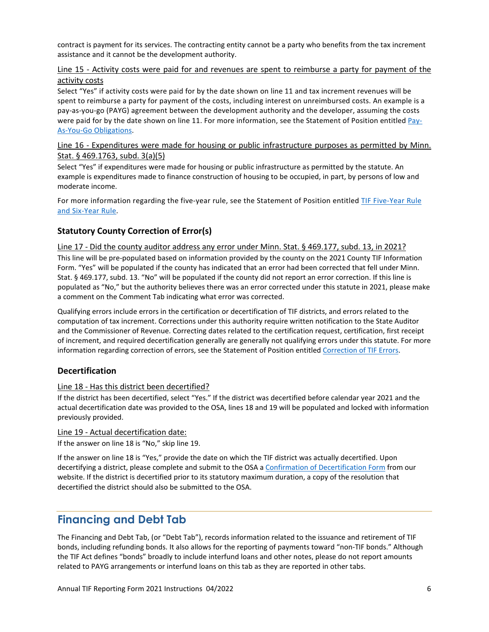contract is payment for its services. The contracting entity cannot be a party who benefits from the tax increment assistance and it cannot be the development authority.

# Line 15 - Activity costs were paid for and revenues are spent to reimburse a party for payment of the activity costs

Select "Yes" if activity costs were paid for by the date shown on line 11 and tax increment revenues will be spent to reimburse a party for payment of the costs, including interest on unreimbursed costs. An example is a pay-as-you-go (PAYG) agreement between the development authority and the developer, assuming the costs were paid for by the date shown on line 11. For more information, see the Statement of Position entitled [Pay-](https://www.osa.state.mn.us/media/vjohedby/tif_pay-as-you-go_0904_statement.pdf)[As-You-Go Obligations.](https://www.osa.state.mn.us/media/vjohedby/tif_pay-as-you-go_0904_statement.pdf)

# Line 16 - Expenditures were made for housing or public infrastructure purposes as permitted by Minn. Stat. § 469.1763, subd. 3(a)(5)

Select "Yes" if expenditures were made for housing or public infrastructure as permitted by the statute. An example is expenditures made to finance construction of housing to be occupied, in part, by persons of low and moderate income.

For more information regarding the five-year rule, see the Statement of Position entitled TIF Five-Year Rule [and Six-Year Rule.](https://www.osa.state.mn.us/media/ymkbmble/tif_fiveyearrule_1305_statement.pdf)

# **Statutory County Correction of Error(s)**

#### Line 17 - Did the county auditor address any error under Minn. Stat. § 469.177, subd. 13, in 2021?

This line will be pre-populated based on information provided by the county on the 2021 County TIF Information Form. "Yes" will be populated if the county has indicated that an error had been corrected that fell under Minn. Stat. § 469.177, subd. 13. "No" will be populated if the county did not report an error correction. If this line is populated as "No," but the authority believes there was an error corrected under this statute in 2021, please make a comment on the Comment Tab indicating what error was corrected.

Qualifying errors include errors in the certification or decertification of TIF districts, and errors related to the computation of tax increment. Corrections under this authority require written notification to the State Auditor and the Commissioner of Revenue. Correcting dates related to the certification request, certification, first receipt of increment, and required decertification generally are generally not qualifying errors under this statute. For more information regarding correction of errors, see the Statement of Position entitle[d Correction of TIF Errors.](https://www.osa.state.mn.us/media/h04pfn2t/tifrcorrectionoferrors_0902_statement.pdf)

# **Decertification**

#### Line 18 - Has this district been decertified?

If the district has been decertified, select "Yes." If the district was decertified before calendar year 2021 and the actual decertification date was provided to the OSA, lines 18 and 19 will be populated and locked with information previously provided.

#### Line 19 - Actual decertification date:

If the answer on line 18 is "No," skip line 19.

If the answer on line 18 is "Yes," provide the date on which the TIF district was actually decertified. Upon decertifying a district, please complete and submit to the OSA [a Confirmation of Decertification Form](https://www.osa.state.mn.us/forms-deadlines/forms/tif-forms/) from our website. If the district is decertified prior to its statutory maximum duration, a copy of the resolution that decertified the district should also be submitted to the OSA.

# <span id="page-5-0"></span>**Financing and Debt Tab**

The Financing and Debt Tab, (or "Debt Tab"), records information related to the issuance and retirement of TIF bonds, including refunding bonds. It also allows for the reporting of payments toward "non-TIF bonds." Although the TIF Act defines "bonds" broadly to include interfund loans and other notes, please do not report amounts related to PAYG arrangements or interfund loans on this tab as they are reported in other tabs.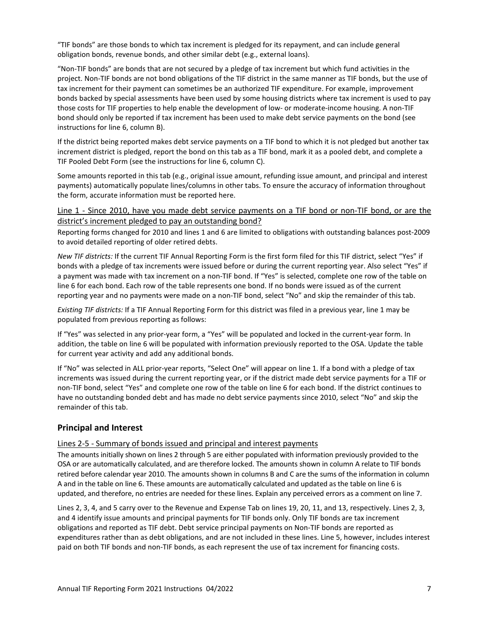"TIF bonds" are those bonds to which tax increment is pledged for its repayment, and can include general obligation bonds, revenue bonds, and other similar debt (e.g., external loans).

"Non-TIF bonds" are bonds that are not secured by a pledge of tax increment but which fund activities in the project. Non-TIF bonds are not bond obligations of the TIF district in the same manner as TIF bonds, but the use of tax increment for their payment can sometimes be an authorized TIF expenditure. For example, improvement bonds backed by special assessments have been used by some housing districts where tax increment is used to pay those costs for TIF properties to help enable the development of low- or moderate-income housing. A non-TIF bond should only be reported if tax increment has been used to make debt service payments on the bond (see instructions for line 6, column B).

If the district being reported makes debt service payments on a TIF bond to which it is not pledged but another tax increment district is pledged, report the bond on this tab as a TIF bond, mark it as a pooled debt, and complete a TIF Pooled Debt Form (see the instructions for line 6, column C).

Some amounts reported in this tab (e.g., original issue amount, refunding issue amount, and principal and interest payments) automatically populate lines/columns in other tabs. To ensure the accuracy of information throughout the form, accurate information must be reported here.

#### Line 1 - Since 2010, have you made debt service payments on a TIF bond or non-TIF bond, or are the district's increment pledged to pay an outstanding bond?

Reporting forms changed for 2010 and lines 1 and 6 are limited to obligations with outstanding balances post-2009 to avoid detailed reporting of older retired debts.

*New TIF districts:* If the current TIF Annual Reporting Form is the first form filed for this TIF district, select "Yes" if bonds with a pledge of tax increments were issued before or during the current reporting year. Also select "Yes" if a payment was made with tax increment on a non-TIF bond. If "Yes" is selected, complete one row of the table on line 6 for each bond. Each row of the table represents one bond. If no bonds were issued as of the current reporting year and no payments were made on a non-TIF bond, select "No" and skip the remainder of this tab.

*Existing TIF districts:* If a TIF Annual Reporting Form for this district was filed in a previous year, line 1 may be populated from previous reporting as follows:

If "Yes" was selected in any prior-year form, a "Yes" will be populated and locked in the current-year form. In addition, the table on line 6 will be populated with information previously reported to the OSA. Update the table for current year activity and add any additional bonds.

If "No" was selected in ALL prior-year reports, "Select One" will appear on line 1. If a bond with a pledge of tax increments was issued during the current reporting year, or if the district made debt service payments for a TIF or non-TIF bond, select "Yes" and complete one row of the table on line 6 for each bond. If the district continues to have no outstanding bonded debt and has made no debt service payments since 2010, select "No" and skip the remainder of this tab.

# **Principal and Interest**

#### Lines 2-5 - Summary of bonds issued and principal and interest payments

The amounts initially shown on lines 2 through 5 are either populated with information previously provided to the OSA or are automatically calculated, and are therefore locked. The amounts shown in column A relate to TIF bonds retired before calendar year 2010. The amounts shown in columns B and C are the sums of the information in column A and in the table on line 6. These amounts are automatically calculated and updated as the table on line 6 is updated, and therefore, no entries are needed for these lines. Explain any perceived errors as a comment on line 7.

Lines 2, 3, 4, and 5 carry over to the Revenue and Expense Tab on lines 19, 20, 11, and 13, respectively. Lines 2, 3, and 4 identify issue amounts and principal payments for TIF bonds only. Only TIF bonds are tax increment obligations and reported as TIF debt. Debt service principal payments on Non-TIF bonds are reported as expenditures rather than as debt obligations, and are not included in these lines. Line 5, however, includes interest paid on both TIF bonds and non-TIF bonds, as each represent the use of tax increment for financing costs.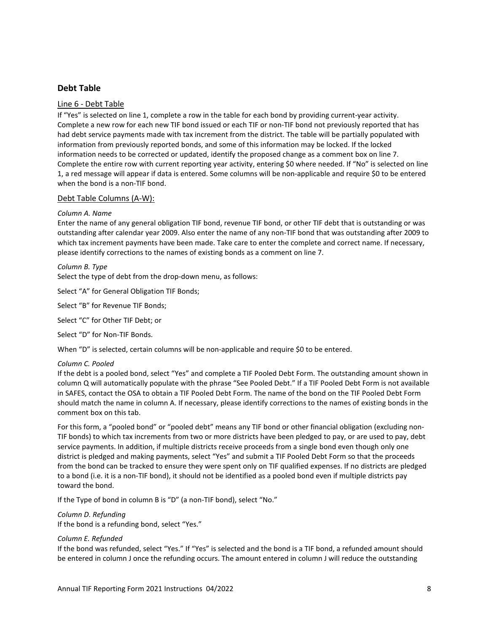# **Debt Table**

#### Line 6 - Debt Table

If "Yes" is selected on line 1, complete a row in the table for each bond by providing current-year activity. Complete a new row for each new TIF bond issued or each TIF or non-TIF bond not previously reported that has had debt service payments made with tax increment from the district. The table will be partially populated with information from previously reported bonds, and some of this information may be locked. If the locked information needs to be corrected or updated, identify the proposed change as a comment box on line 7. Complete the entire row with current reporting year activity, entering \$0 where needed. If "No" is selected on line 1, a red message will appear if data is entered. Some columns will be non-applicable and require \$0 to be entered when the bond is a non-TIF bond.

#### Debt Table Columns (A-W):

#### *Column A. Name*

Enter the name of any general obligation TIF bond, revenue TIF bond, or other TIF debt that is outstanding or was outstanding after calendar year 2009. Also enter the name of any non-TIF bond that was outstanding after 2009 to which tax increment payments have been made. Take care to enter the complete and correct name. If necessary, please identify corrections to the names of existing bonds as a comment on line 7.

#### *Column B. Type*

Select the type of debt from the drop-down menu, as follows:

Select "A" for General Obligation TIF Bonds;

Select "B" for Revenue TIF Bonds;

Select "C" for Other TIF Debt; or

Select "D" for Non-TIF Bonds.

When "D" is selected, certain columns will be non-applicable and require \$0 to be entered.

#### *Column C. Pooled*

If the debt is a pooled bond, select "Yes" and complete a TIF Pooled Debt Form. The outstanding amount shown in column Q will automatically populate with the phrase "See Pooled Debt." If a TIF Pooled Debt Form is not available in SAFES, contact the OSA to obtain a TIF Pooled Debt Form. The name of the bond on the TIF Pooled Debt Form should match the name in column A. If necessary, please identify corrections to the names of existing bonds in the comment box on this tab.

For this form, a "pooled bond" or "pooled debt" means any TIF bond or other financial obligation (excluding non-TIF bonds) to which tax increments from two or more districts have been pledged to pay, or are used to pay, debt service payments. In addition, if multiple districts receive proceeds from a single bond even though only one district is pledged and making payments, select "Yes" and submit a TIF Pooled Debt Form so that the proceeds from the bond can be tracked to ensure they were spent only on TIF qualified expenses. If no districts are pledged to a bond (i.e. it is a non-TIF bond), it should not be identified as a pooled bond even if multiple districts pay toward the bond.

If the Type of bond in column B is "D" (a non-TIF bond), select "No."

# *Column D. Refunding*

If the bond is a refunding bond, select "Yes."

#### *Column E. Refunded*

If the bond was refunded, select "Yes." If "Yes" is selected and the bond is a TIF bond, a refunded amount should be entered in column J once the refunding occurs. The amount entered in column J will reduce the outstanding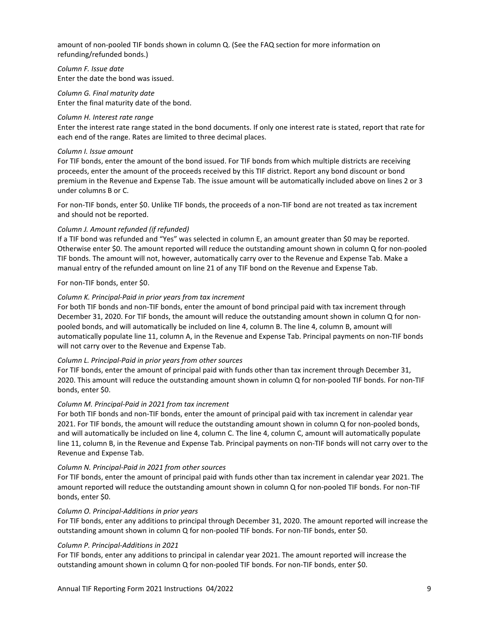amount of non-pooled TIF bonds shown in column Q. (See the FAQ section for more information on refunding/refunded bonds.)

*Column F. Issue date* Enter the date the bond was issued.

*Column G. Final maturity date* Enter the final maturity date of the bond.

#### *Column H. Interest rate range*

Enter the interest rate range stated in the bond documents. If only one interest rate is stated, report that rate for each end of the range. Rates are limited to three decimal places.

#### *Column I. Issue amount*

For TIF bonds, enter the amount of the bond issued. For TIF bonds from which multiple districts are receiving proceeds, enter the amount of the proceeds received by this TIF district. Report any bond discount or bond premium in the Revenue and Expense Tab. The issue amount will be automatically included above on lines 2 or 3 under columns B or C.

For non-TIF bonds, enter \$0. Unlike TIF bonds, the proceeds of a non-TIF bond are not treated as tax increment and should not be reported.

#### *Column J. Amount refunded (if refunded)*

If a TIF bond was refunded and "Yes" was selected in column E, an amount greater than \$0 may be reported. Otherwise enter \$0. The amount reported will reduce the outstanding amount shown in column Q for non-pooled TIF bonds. The amount will not, however, automatically carry over to the Revenue and Expense Tab. Make a manual entry of the refunded amount on line 21 of any TIF bond on the Revenue and Expense Tab.

For non-TIF bonds, enter \$0.

#### *Column K. Principal-Paid in prior years from tax increment*

For both TIF bonds and non-TIF bonds, enter the amount of bond principal paid with tax increment through December 31, 2020. For TIF bonds, the amount will reduce the outstanding amount shown in column Q for nonpooled bonds, and will automatically be included on line 4, column B. The line 4, column B, amount will automatically populate line 11, column A, in the Revenue and Expense Tab. Principal payments on non-TIF bonds will not carry over to the Revenue and Expense Tab.

#### *Column L. Principal-Paid in prior years from other sources*

For TIF bonds, enter the amount of principal paid with funds other than tax increment through December 31, 2020. This amount will reduce the outstanding amount shown in column Q for non-pooled TIF bonds. For non-TIF bonds, enter \$0.

#### *Column M. Principal-Paid in 2021 from tax increment*

For both TIF bonds and non-TIF bonds, enter the amount of principal paid with tax increment in calendar year 2021. For TIF bonds, the amount will reduce the outstanding amount shown in column Q for non-pooled bonds, and will automatically be included on line 4, column C. The line 4, column C, amount will automatically populate line 11, column B, in the Revenue and Expense Tab. Principal payments on non-TIF bonds will not carry over to the Revenue and Expense Tab.

#### *Column N. Principal-Paid in 2021 from other sources*

For TIF bonds, enter the amount of principal paid with funds other than tax increment in calendar year 2021. The amount reported will reduce the outstanding amount shown in column Q for non-pooled TIF bonds. For non-TIF bonds, enter \$0.

#### *Column O. Principal-Additions in prior years*

For TIF bonds, enter any additions to principal through December 31, 2020. The amount reported will increase the outstanding amount shown in column Q for non-pooled TIF bonds. For non-TIF bonds, enter \$0.

#### *Column P. Principal-Additions in 2021*

For TIF bonds, enter any additions to principal in calendar year 2021. The amount reported will increase the outstanding amount shown in column Q for non-pooled TIF bonds. For non-TIF bonds, enter \$0.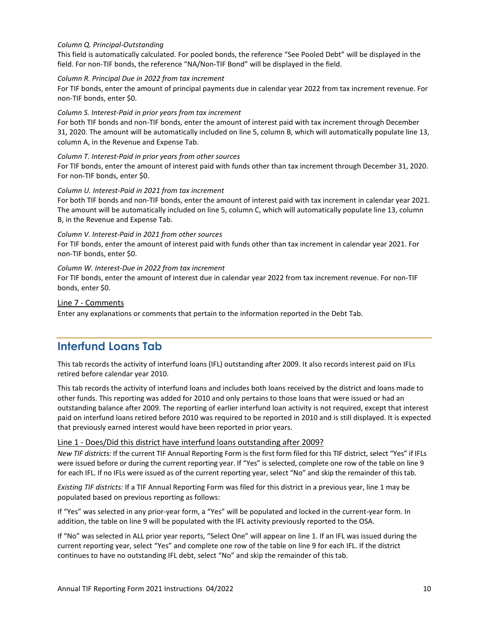#### *Column Q. Principal-Outstanding*

This field is automatically calculated. For pooled bonds, the reference "See Pooled Debt" will be displayed in the field. For non-TIF bonds, the reference "NA/Non-TIF Bond" will be displayed in the field.

#### *Column R. Principal Due in 2022 from tax increment*

For TIF bonds, enter the amount of principal payments due in calendar year 2022 from tax increment revenue. For non-TIF bonds, enter \$0.

#### *Column S. Interest-Paid in prior years from tax increment*

For both TIF bonds and non-TIF bonds, enter the amount of interest paid with tax increment through December 31, 2020. The amount will be automatically included on line 5, column B, which will automatically populate line 13, column A, in the Revenue and Expense Tab.

#### *Column T. Interest-Paid in prior years from other sources*

For TIF bonds, enter the amount of interest paid with funds other than tax increment through December 31, 2020. For non-TIF bonds, enter \$0.

#### *Column U. Interest-Paid in 2021 from tax increment*

For both TIF bonds and non-TIF bonds, enter the amount of interest paid with tax increment in calendar year 2021. The amount will be automatically included on line 5, column C, which will automatically populate line 13, column B, in the Revenue and Expense Tab.

#### *Column V. Interest-Paid in 2021 from other sources*

For TIF bonds, enter the amount of interest paid with funds other than tax increment in calendar year 2021. For non-TIF bonds, enter \$0.

#### *Column W. Interest-Due in 2022 from tax increment*

For TIF bonds, enter the amount of interest due in calendar year 2022 from tax increment revenue. For non-TIF bonds, enter \$0.

#### Line 7 - Comments

<span id="page-9-0"></span>Enter any explanations or comments that pertain to the information reported in the Debt Tab.

# **Interfund Loans Tab**

This tab records the activity of interfund loans (IFL) outstanding after 2009. It also records interest paid on IFLs retired before calendar year 2010.

This tab records the activity of interfund loans and includes both loans received by the district and loans made to other funds. This reporting was added for 2010 and only pertains to those loans that were issued or had an outstanding balance after 2009. The reporting of earlier interfund loan activity is not required, except that interest paid on interfund loans retired before 2010 was required to be reported in 2010 and is still displayed. It is expected that previously earned interest would have been reported in prior years.

#### Line 1 - Does/Did this district have interfund loans outstanding after 2009?

*New TIF districts:* If the current TIF Annual Reporting Form is the first form filed for this TIF district, select "Yes" if IFLs were issued before or during the current reporting year. If "Yes" is selected, complete one row of the table on line 9 for each IFL. If no IFLs were issued as of the current reporting year, select "No" and skip the remainder of this tab.

*Existing TIF districts:* If a TIF Annual Reporting Form was filed for this district in a previous year, line 1 may be populated based on previous reporting as follows:

If "Yes" was selected in any prior-year form, a "Yes" will be populated and locked in the current-year form. In addition, the table on line 9 will be populated with the IFL activity previously reported to the OSA.

If "No" was selected in ALL prior year reports, "Select One" will appear on line 1. If an IFL was issued during the current reporting year, select "Yes" and complete one row of the table on line 9 for each IFL. If the district continues to have no outstanding IFL debt, select "No" and skip the remainder of this tab.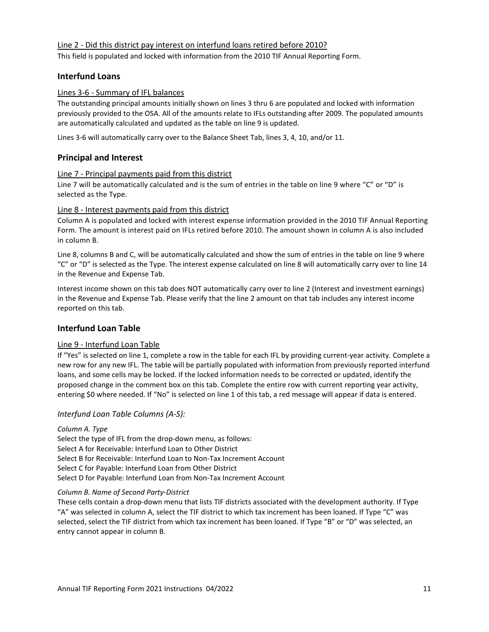# Line 2 - Did this district pay interest on interfund loans retired before 2010?

This field is populated and locked with information from the 2010 TIF Annual Reporting Form.

# **Interfund Loans**

#### Lines 3-6 - Summary of IFL balances

The outstanding principal amounts initially shown on lines 3 thru 6 are populated and locked with information previously provided to the OSA. All of the amounts relate to IFLs outstanding after 2009. The populated amounts are automatically calculated and updated as the table on line 9 is updated.

Lines 3-6 will automatically carry over to the Balance Sheet Tab, lines 3, 4, 10, and/or 11.

# **Principal and Interest**

#### Line 7 - Principal payments paid from this district

Line 7 will be automatically calculated and is the sum of entries in the table on line 9 where "C" or "D" is selected as the Type.

#### Line 8 - Interest payments paid from this district

Column A is populated and locked with interest expense information provided in the 2010 TIF Annual Reporting Form. The amount is interest paid on IFLs retired before 2010. The amount shown in column A is also included in column B.

Line 8, columns B and C, will be automatically calculated and show the sum of entries in the table on line 9 where "C" or "D" is selected as the Type. The interest expense calculated on line 8 will automatically carry over to line 14 in the Revenue and Expense Tab.

Interest income shown on this tab does NOT automatically carry over to line 2 (Interest and investment earnings) in the Revenue and Expense Tab. Please verify that the line 2 amount on that tab includes any interest income reported on this tab.

#### **Interfund Loan Table**

#### Line 9 - Interfund Loan Table

If "Yes" is selected on line 1, complete a row in the table for each IFL by providing current-year activity. Complete a new row for any new IFL. The table will be partially populated with information from previously reported interfund loans, and some cells may be locked. If the locked information needs to be corrected or updated, identify the proposed change in the comment box on this tab. Complete the entire row with current reporting year activity, entering \$0 where needed. If "No" is selected on line 1 of this tab, a red message will appear if data is entered.

#### *Interfund Loan Table Columns (A-S):*

# *Column A. Type* Select the type of IFL from the drop-down menu, as follows: Select A for Receivable: Interfund Loan to Other District

Select B for Receivable: Interfund Loan to Non-Tax Increment Account

Select C for Payable: Interfund Loan from Other District

Select D for Payable: Interfund Loan from Non-Tax Increment Account

#### *Column B. Name of Second Party-District*

These cells contain a drop-down menu that lists TIF districts associated with the development authority. If Type "A" was selected in column A, select the TIF district to which tax increment has been loaned. If Type "C" was selected, select the TIF district from which tax increment has been loaned. If Type "B" or "D" was selected, an entry cannot appear in column B.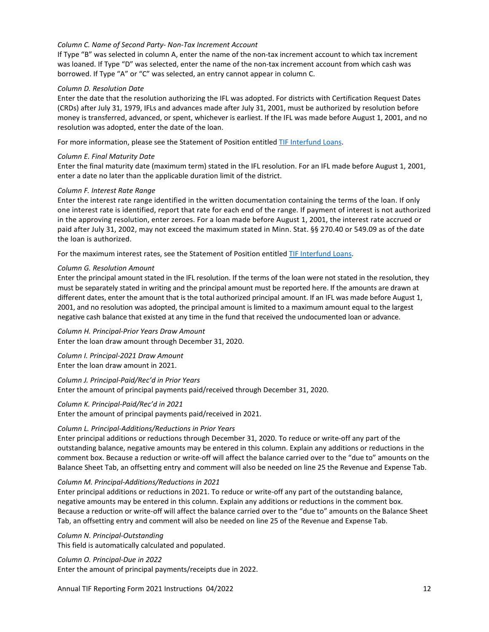#### *Column C. Name of Second Party- Non-Tax Increment Account*

If Type "B" was selected in column A, enter the name of the non-tax increment account to which tax increment was loaned. If Type "D" was selected, enter the name of the non-tax increment account from which cash was borrowed. If Type "A" or "C" was selected, an entry cannot appear in column C.

#### *Column D. Resolution Date*

Enter the date that the resolution authorizing the IFL was adopted. For districts with Certification Request Dates (CRDs) after July 31, 1979, IFLs and advances made after July 31, 2001, must be authorized by resolution before money is transferred, advanced, or spent, whichever is earliest. If the IFL was made before August 1, 2001, and no resolution was adopted, enter the date of the loan.

For more information, please see the Statement of Position entitle[d TIF Interfund Loans.](https://www.osa.state.mn.us/media/0thmplha/tifinterfundloans_0709_statement.pdf)

#### *Column E. Final Maturity Date*

Enter the final maturity date (maximum term) stated in the IFL resolution. For an IFL made before August 1, 2001, enter a date no later than the applicable duration limit of the district.

#### *Column F. Interest Rate Range*

Enter the interest rate range identified in the written documentation containing the terms of the loan. If only one interest rate is identified, report that rate for each end of the range. If payment of interest is not authorized in the approving resolution, enter zeroes. For a loan made before August 1, 2001, the interest rate accrued or paid after July 31, 2002, may not exceed the maximum stated in Minn. Stat. §§ 270.40 or 549.09 as of the date the loan is authorized.

For the maximum interest rates, see the Statement of Position entitled [TIF Interfund Loans.](https://www.osa.state.mn.us/media/0thmplha/tifinterfundloans_0709_statement.pdf)

#### *Column G. Resolution Amount*

Enter the principal amount stated in the IFL resolution. If the terms of the loan were not stated in the resolution, they must be separately stated in writing and the principal amount must be reported here. If the amounts are drawn at different dates, enter the amount that is the total authorized principal amount. If an IFL was made before August 1, 2001, and no resolution was adopted, the principal amount is limited to a maximum amount equal to the largest negative cash balance that existed at any time in the fund that received the undocumented loan or advance.

*Column H. Principal-Prior Years Draw Amount* Enter the loan draw amount through December 31, 2020.

*Column I. Principal-2021 Draw Amount* Enter the loan draw amount in 2021.

*Column J. Principal-Paid/Rec'd in Prior Years* Enter the amount of principal payments paid/received through December 31, 2020.

*Column K. Principal-Paid/Rec'd in 2021* Enter the amount of principal payments paid/received in 2021.

#### *Column L. Principal-Additions/Reductions in Prior Years*

Enter principal additions or reductions through December 31, 2020. To reduce or write-off any part of the outstanding balance, negative amounts may be entered in this column. Explain any additions or reductions in the comment box. Because a reduction or write-off will affect the balance carried over to the "due to" amounts on the Balance Sheet Tab, an offsetting entry and comment will also be needed on line 25 the Revenue and Expense Tab.

#### *Column M. Principal-Additions/Reductions in 2021*

Enter principal additions or reductions in 2021. To reduce or write-off any part of the outstanding balance, negative amounts may be entered in this column. Explain any additions or reductions in the comment box. Because a reduction or write-off will affect the balance carried over to the "due to" amounts on the Balance Sheet Tab, an offsetting entry and comment will also be needed on line 25 of the Revenue and Expense Tab.

*Column N. Principal-Outstanding*

This field is automatically calculated and populated.

#### *Column O. Principal-Due in 2022*

Enter the amount of principal payments/receipts due in 2022.

Annual TIF Reporting Form 2021 Instructions 04/2022 12 12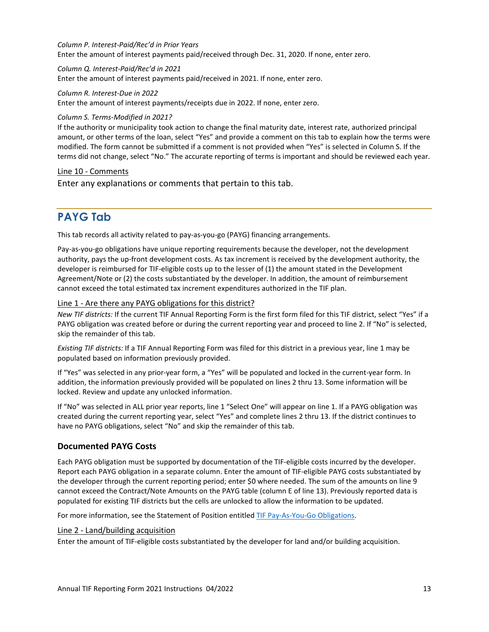#### *Column P. Interest-Paid/Rec'd in Prior Years*

Enter the amount of interest payments paid/received through Dec. 31, 2020. If none, enter zero.

#### *Column Q. Interest-Paid/Rec'd in 2021*

Enter the amount of interest payments paid/received in 2021. If none, enter zero.

#### *Column R. Interest-Due in 2022*

Enter the amount of interest payments/receipts due in 2022. If none, enter zero.

#### *Column S. Terms-Modified in 2021?*

If the authority or municipality took action to change the final maturity date, interest rate, authorized principal amount, or other terms of the loan, select "Yes" and provide a comment on this tab to explain how the terms were modified. The form cannot be submitted if a comment is not provided when "Yes" is selected in Column S. If the terms did not change, select "No." The accurate reporting of terms is important and should be reviewed each year.

#### Line 10 - Comments

<span id="page-12-0"></span>Enter any explanations or comments that pertain to this tab.

# **PAYG Tab**

This tab records all activity related to pay-as-you-go (PAYG) financing arrangements.

Pay-as-you-go obligations have unique reporting requirements because the developer, not the development authority, pays the up-front development costs. As tax increment is received by the development authority, the developer is reimbursed for TIF-eligible costs up to the lesser of (1) the amount stated in the Development Agreement/Note or (2) the costs substantiated by the developer. In addition, the amount of reimbursement cannot exceed the total estimated tax increment expenditures authorized in the TIF plan.

# Line 1 - Are there any PAYG obligations for this district?

*New TIF districts:* If the current TIF Annual Reporting Form is the first form filed for this TIF district, select "Yes" if a PAYG obligation was created before or during the current reporting year and proceed to line 2. If "No" is selected, skip the remainder of this tab.

*Existing TIF districts:* If a TIF Annual Reporting Form was filed for this district in a previous year, line 1 may be populated based on information previously provided.

If "Yes" was selected in any prior-year form, a "Yes" will be populated and locked in the current-year form. In addition, the information previously provided will be populated on lines 2 thru 13. Some information will be locked. Review and update any unlocked information.

If "No" was selected in ALL prior year reports, line 1 "Select One" will appear on line 1. If a PAYG obligation was created during the current reporting year, select "Yes" and complete lines 2 thru 13. If the district continues to have no PAYG obligations, select "No" and skip the remainder of this tab.

#### **Documented PAYG Costs**

Each PAYG obligation must be supported by documentation of the TIF-eligible costs incurred by the developer. Report each PAYG obligation in a separate column. Enter the amount of TIF-eligible PAYG costs substantiated by the developer through the current reporting period; enter \$0 where needed. The sum of the amounts on line 9 cannot exceed the Contract/Note Amounts on the PAYG table (column E of line 13). Previously reported data is populated for existing TIF districts but the cells are unlocked to allow the information to be updated.

For more information, see the Statement of Position entitled [TIF Pay-As-You-Go Obligations.](https://www.osa.state.mn.us/media/vjohedby/tif_pay-as-you-go_0904_statement.pdf)

#### Line 2 - Land/building acquisition

Enter the amount of TIF-eligible costs substantiated by the developer for land and/or building acquisition.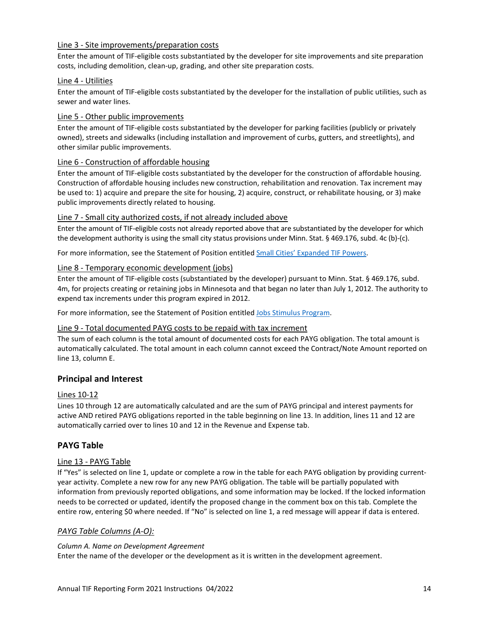# Line 3 - Site improvements/preparation costs

Enter the amount of TIF-eligible costs substantiated by the developer for site improvements and site preparation costs, including demolition, clean-up, grading, and other site preparation costs.

#### Line 4 - Utilities

Enter the amount of TIF-eligible costs substantiated by the developer for the installation of public utilities, such as sewer and water lines.

#### Line 5 - Other public improvements

Enter the amount of TIF-eligible costs substantiated by the developer for parking facilities (publicly or privately owned), streets and sidewalks (including installation and improvement of curbs, gutters, and streetlights), and other similar public improvements.

# Line 6 - Construction of affordable housing

Enter the amount of TIF-eligible costs substantiated by the developer for the construction of affordable housing. Construction of affordable housing includes new construction, rehabilitation and renovation. Tax increment may be used to: 1) acquire and prepare the site for housing, 2) acquire, construct, or rehabilitate housing, or 3) make public improvements directly related to housing.

# Line 7 - Small city authorized costs, if not already included above

Enter the amount of TIF-eligible costs not already reported above that are substantiated by the developer for which the development authority is using the small city status provisions under Minn. Stat. § 469.176, subd. 4c (b)-(c).

For more information, see the Statement of Position entitled [Small Cities' Expanded TIF Powers.](https://www.osa.state.mn.us/media/4g5hvz4v/tifsmallcities_1102_statement.pdf)

# Line 8 - Temporary economic development (jobs)

Enter the amount of TIF-eligible costs (substantiated by the developer) pursuant to Minn. Stat. § 469.176, subd. 4m, for projects creating or retaining jobs in Minnesota and that began no later than July 1, 2012. The authority to expend tax increments under this program expired in 2012.

For more information, see the Statement of Position entitled [Jobs Stimulus Program.](https://www.osa.state.mn.us/media/rigpbmtd/tifjobsstimulusprogram_1105_statement.pdf)

#### Line 9 - Total documented PAYG costs to be repaid with tax increment

The sum of each column is the total amount of documented costs for each PAYG obligation. The total amount is automatically calculated. The total amount in each column cannot exceed the Contract/Note Amount reported on line 13, column E.

# **Principal and Interest**

#### Lines 10-12

Lines 10 through 12 are automatically calculated and are the sum of PAYG principal and interest payments for active AND retired PAYG obligations reported in the table beginning on line 13. In addition, lines 11 and 12 are automatically carried over to lines 10 and 12 in the Revenue and Expense tab.

# **PAYG Table**

#### Line 13 - PAYG Table

If "Yes" is selected on line 1, update or complete a row in the table for each PAYG obligation by providing currentyear activity. Complete a new row for any new PAYG obligation. The table will be partially populated with information from previously reported obligations, and some information may be locked. If the locked information needs to be corrected or updated, identify the proposed change in the comment box on this tab. Complete the entire row, entering \$0 where needed. If "No" is selected on line 1, a red message will appear if data is entered.

#### *PAYG Table Columns (A-O):*

#### *Column A. Name on Development Agreement*

Enter the name of the developer or the development as it is written in the development agreement.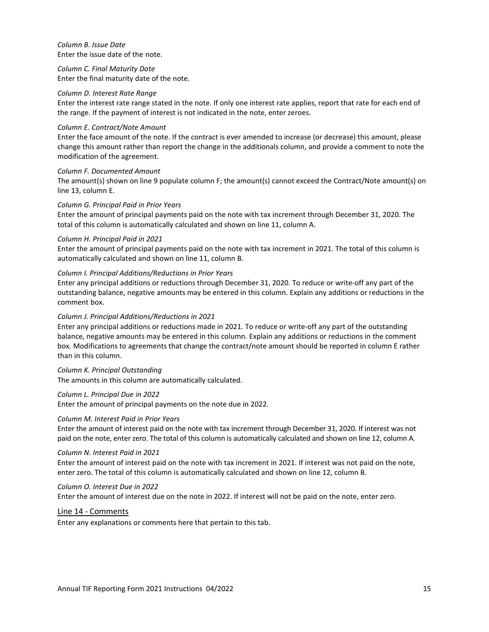#### *Column B. Issue Date* Enter the issue date of the note.

*Column C. Final Maturity Date* Enter the final maturity date of the note.

#### *Column D. Interest Rate Range*

Enter the interest rate range stated in the note. If only one interest rate applies, report that rate for each end of the range. If the payment of interest is not indicated in the note, enter zeroes.

#### *Column E. Contract/Note Amount*

Enter the face amount of the note. If the contract is ever amended to increase (or decrease) this amount, please change this amount rather than report the change in the additionals column, and provide a comment to note the modification of the agreement.

#### *Column F. Documented Amount*

The amount(s) shown on line 9 populate column F; the amount(s) cannot exceed the Contract/Note amount(s) on line 13, column E.

#### *Column G. Principal Paid in Prior Years*

Enter the amount of principal payments paid on the note with tax increment through December 31, 2020. The total of this column is automatically calculated and shown on line 11, column A.

#### *Column H. Principal Paid in 2021*

Enter the amount of principal payments paid on the note with tax increment in 2021. The total of this column is automatically calculated and shown on line 11, column B.

#### *Column I. Principal Additions/Reductions in Prior Years*

Enter any principal additions or reductions through December 31, 2020. To reduce or write-off any part of the outstanding balance, negative amounts may be entered in this column. Explain any additions or reductions in the comment box.

#### *Column J. Principal Additions/Reductions in 2021*

Enter any principal additions or reductions made in 2021. To reduce or write-off any part of the outstanding balance, negative amounts may be entered in this column. Explain any additions or reductions in the comment box. Modifications to agreements that change the contract/note amount should be reported in column E rather than in this column.

*Column K. Principal Outstanding* 

The amounts in this column are automatically calculated.

#### *Column L. Principal Due in 2022*

Enter the amount of principal payments on the note due in 2022.

#### *Column M. Interest Paid in Prior Years*

Enter the amount of interest paid on the note with tax increment through December 31, 2020. If interest was not paid on the note, enter zero. The total of this column is automatically calculated and shown on line 12, column A.

#### *Column N. Interest Paid in 2021*

Enter the amount of interest paid on the note with tax increment in 2021. If interest was not paid on the note, enter zero. The total of this column is automatically calculated and shown on line 12, column B.

#### *Column O. Interest Due in 2022*

Enter the amount of interest due on the note in 2022. If interest will not be paid on the note, enter zero.

#### Line 14 - Comments

Enter any explanations or comments here that pertain to this tab.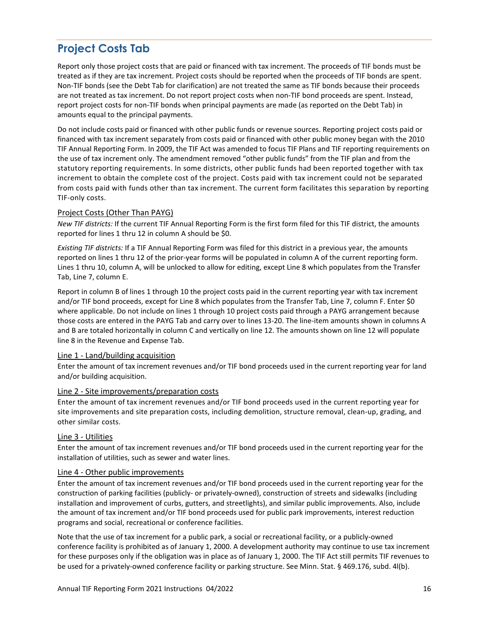# <span id="page-15-0"></span>**Project Costs Tab**

Report only those project costs that are paid or financed with tax increment. The proceeds of TIF bonds must be treated as if they are tax increment. Project costs should be reported when the proceeds of TIF bonds are spent. Non-TIF bonds (see the Debt Tab for clarification) are not treated the same as TIF bonds because their proceeds are not treated as tax increment. Do not report project costs when non-TIF bond proceeds are spent. Instead, report project costs for non-TIF bonds when principal payments are made (as reported on the Debt Tab) in amounts equal to the principal payments.

Do not include costs paid or financed with other public funds or revenue sources. Reporting project costs paid or financed with tax increment separately from costs paid or financed with other public money began with the 2010 TIF Annual Reporting Form. In 2009, the TIF Act was amended to focus TIF Plans and TIF reporting requirements on the use of tax increment only. The amendment removed "other public funds" from the TIF plan and from the statutory reporting requirements. In some districts, other public funds had been reported together with tax increment to obtain the complete cost of the project. Costs paid with tax increment could not be separated from costs paid with funds other than tax increment. The current form facilitates this separation by reporting TIF-only costs.

# Project Costs (Other Than PAYG)

*New TIF districts:* If the current TIF Annual Reporting Form is the first form filed for this TIF district, the amounts reported for lines 1 thru 12 in column A should be \$0.

*Existing TIF districts:* If a TIF Annual Reporting Form was filed for this district in a previous year, the amounts reported on lines 1 thru 12 of the prior-year forms will be populated in column A of the current reporting form. Lines 1 thru 10, column A, will be unlocked to allow for editing, except Line 8 which populates from the Transfer Tab, Line 7, column E.

Report in column B of lines 1 through 10 the project costs paid in the current reporting year with tax increment and/or TIF bond proceeds, except for Line 8 which populates from the Transfer Tab, Line 7, column F. Enter \$0 where applicable. Do not include on lines 1 through 10 project costs paid through a PAYG arrangement because those costs are entered in the PAYG Tab and carry over to lines 13-20. The line-item amounts shown in columns A and B are totaled horizontally in column C and vertically on line 12. The amounts shown on line 12 will populate line 8 in the Revenue and Expense Tab.

# Line 1 - Land/building acquisition

Enter the amount of tax increment revenues and/or TIF bond proceeds used in the current reporting year for land and/or building acquisition.

#### Line 2 - Site improvements/preparation costs

Enter the amount of tax increment revenues and/or TIF bond proceeds used in the current reporting year for site improvements and site preparation costs, including demolition, structure removal, clean-up, grading, and other similar costs.

#### Line 3 - Utilities

Enter the amount of tax increment revenues and/or TIF bond proceeds used in the current reporting year for the installation of utilities, such as sewer and water lines.

#### Line 4 - Other public improvements

Enter the amount of tax increment revenues and/or TIF bond proceeds used in the current reporting year for the construction of parking facilities (publicly- or privately-owned), construction of streets and sidewalks (including installation and improvement of curbs, gutters, and streetlights), and similar public improvements. Also, include the amount of tax increment and/or TIF bond proceeds used for public park improvements, interest reduction programs and social, recreational or conference facilities.

Note that the use of tax increment for a public park, a social or recreational facility, or a publicly-owned conference facility is prohibited as of January 1, 2000. A development authority may continue to use tax increment for these purposes only if the obligation was in place as of January 1, 2000. The TIF Act still permits TIF revenues to be used for a privately-owned conference facility or parking structure. See Minn. Stat. § 469.176, subd. 4l(b).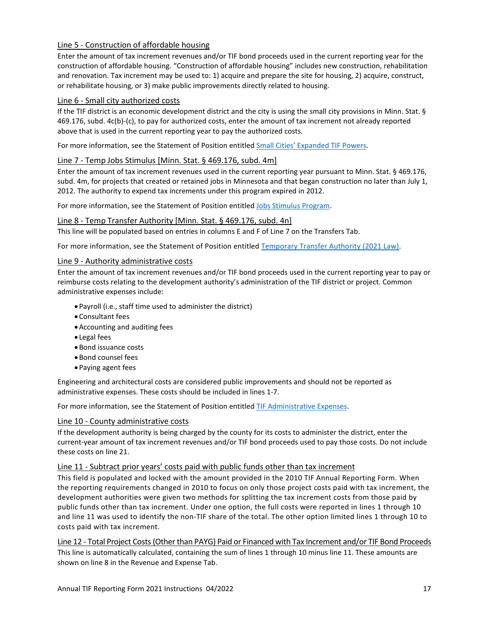# Line 5 - Construction of affordable housing

Enter the amount of tax increment revenues and/or TIF bond proceeds used in the current reporting year for the construction of affordable housing. "Construction of affordable housing" includes new construction, rehabilitation and renovation. Tax increment may be used to: 1) acquire and prepare the site for housing, 2) acquire, construct, or rehabilitate housing, or 3) make public improvements directly related to housing.

#### Line 6 - Small city authorized costs

If the TIF district is an economic development district and the city is using the small city provisions in Minn. Stat. § 469.176, subd. 4c(b)-(c), to pay for authorized costs, enter the amount of tax increment not already reported above that is used in the current reporting year to pay the authorized costs.

For more information, see the Statement of Position entitled [Small Cities' Expanded TIF Powers.](https://www.osa.state.mn.us/media/4g5hvz4v/tifsmallcities_1102_statement.pdf)

#### Line 7 - Temp Jobs Stimulus [Minn. Stat. § 469.176, subd. 4m]

Enter the amount of tax increment revenues used in the current reporting year pursuant to Minn. Stat. § 469.176, subd. 4m, for projects that created or retained jobs in Minnesota and that began construction no later than July 1, 2012. The authority to expend tax increments under this program expired in 2012.

For more information, see the Statement of Position entitled [Jobs Stimulus Program.](https://www.osa.state.mn.us/media/rigpbmtd/tifjobsstimulusprogram_1105_statement.pdf)

#### Line 8 - Temp Transfer Authority [Minn. Stat. § 469.176, subd. 4n]

This line will be populated based on entries in columns E and F of Line 7 on the Transfers Tab.

For more information, see the Statement of Position entitled [Temporary Transfer Authority \(2021 Law\).](https://www.osa.state.mn.us/media/3rdd1jma/temporary-transfer-authority-statement.pdf)

#### Line 9 - Authority administrative costs

Enter the amount of tax increment revenues and/or TIF bond proceeds used in the current reporting year to pay or reimburse costs relating to the development authority's administration of the TIF district or project. Common administrative expenses include:

- Payroll (i.e., staff time used to administer the district)
- •Consultant fees
- •Accounting and auditing fees
- Legal fees
- •Bond issuance costs
- •Bond counsel fees
- Paying agent fees

Engineering and architectural costs are considered public improvements and should not be reported as administrative expenses. These costs should be included in lines 1-7.

For more information, see the Statement of Position entitled [TIF Administrative Expenses.](https://www.osa.state.mn.us/media/lb1gardc/tifadministrativeexpenses1102statement.pdf)

#### Line 10 - County administrative costs

If the development authority is being charged by the county for its costs to administer the district, enter the current-year amount of tax increment revenues and/or TIF bond proceeds used to pay those costs. Do not include these costs on line 21.

#### Line 11 - Subtract prior years' costs paid with public funds other than tax increment

This field is populated and locked with the amount provided in the 2010 TIF Annual Reporting Form. When the reporting requirements changed in 2010 to focus on only those project costs paid with tax increment, the development authorities were given two methods for splitting the tax increment costs from those paid by public funds other than tax increment. Under one option, the full costs were reported in lines 1 through 10 and line 11 was used to identify the non-TIF share of the total. The other option limited lines 1 through 10 to costs paid with tax increment.

Line 12 - Total Project Costs (Other than PAYG) Paid or Financed with Tax Increment and/or TIF Bond Proceeds This line is automatically calculated, containing the sum of lines 1 through 10 minus line 11. These amounts are shown on line 8 in the Revenue and Expense Tab.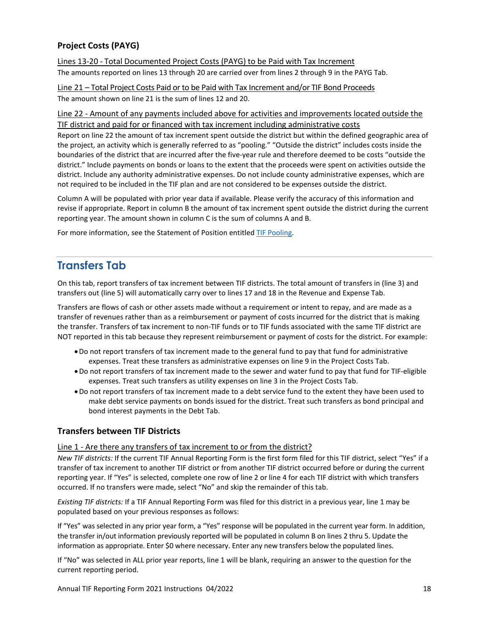# **Project Costs (PAYG)**

Lines 13-20 - Total Documented Project Costs (PAYG) to be Paid with Tax Increment The amounts reported on lines 13 through 20 are carried over from lines 2 through 9 in the PAYG Tab.

Line 21 – Total Project Costs Paid or to be Paid with Tax Increment and/or TIF Bond Proceeds The amount shown on line 21 is the sum of lines 12 and 20.

# Line 22 - Amount of any payments included above for activities and improvements located outside the TIF district and paid for or financed with tax increment including administrative costs

Report on line 22 the amount of tax increment spent outside the district but within the defined geographic area of the project, an activity which is generally referred to as "pooling." "Outside the district" includes costs inside the boundaries of the district that are incurred after the five-year rule and therefore deemed to be costs "outside the district." Include payments on bonds or loans to the extent that the proceeds were spent on activities outside the district. Include any authority administrative expenses. Do not include county administrative expenses, which are not required to be included in the TIF plan and are not considered to be expenses outside the district.

Column A will be populated with prior year data if available. Please verify the accuracy of this information and revise if appropriate. Report in column B the amount of tax increment spent outside the district during the current reporting year. The amount shown in column C is the sum of columns A and B.

<span id="page-17-0"></span>For more information, see the Statement of Position entitled [TIF Pooling.](https://www.osa.state.mn.us/media/ciqfmuiv/tifpooling_1305_statement.pdf)

# **Transfers Tab**

On this tab, report transfers of tax increment between TIF districts. The total amount of transfers in (line 3) and transfers out (line 5) will automatically carry over to lines 17 and 18 in the Revenue and Expense Tab.

Transfers are flows of cash or other assets made without a requirement or intent to repay, and are made as a transfer of revenues rather than as a reimbursement or payment of costs incurred for the district that is making the transfer. Transfers of tax increment to non-TIF funds or to TIF funds associated with the same TIF district are NOT reported in this tab because they represent reimbursement or payment of costs for the district. For example:

- •Do not report transfers of tax increment made to the general fund to pay that fund for administrative expenses. Treat these transfers as administrative expenses on line 9 in the Project Costs Tab.
- •Do not report transfers of tax increment made to the sewer and water fund to pay that fund for TIF-eligible expenses. Treat such transfers as utility expenses on line 3 in the Project Costs Tab.
- •Do not report transfers of tax increment made to a debt service fund to the extent they have been used to make debt service payments on bonds issued for the district. Treat such transfers as bond principal and bond interest payments in the Debt Tab.

# **Transfers between TIF Districts**

# Line 1 - Are there any transfers of tax increment to or from the district?

*New TIF districts:* If the current TIF Annual Reporting Form is the first form filed for this TIF district, select "Yes" if a transfer of tax increment to another TIF district or from another TIF district occurred before or during the current reporting year. If "Yes" is selected, complete one row of line 2 or line 4 for each TIF district with which transfers occurred. If no transfers were made, select "No" and skip the remainder of this tab.

*Existing TIF districts:* If a TIF Annual Reporting Form was filed for this district in a previous year, line 1 may be populated based on your previous responses as follows:

If "Yes" was selected in any prior year form, a "Yes" response will be populated in the current year form. In addition, the transfer in/out information previously reported will be populated in column B on lines 2 thru 5. Update the information as appropriate. Enter \$0 where necessary. Enter any new transfers below the populated lines.

If "No" was selected in ALL prior year reports, line 1 will be blank, requiring an answer to the question for the current reporting period.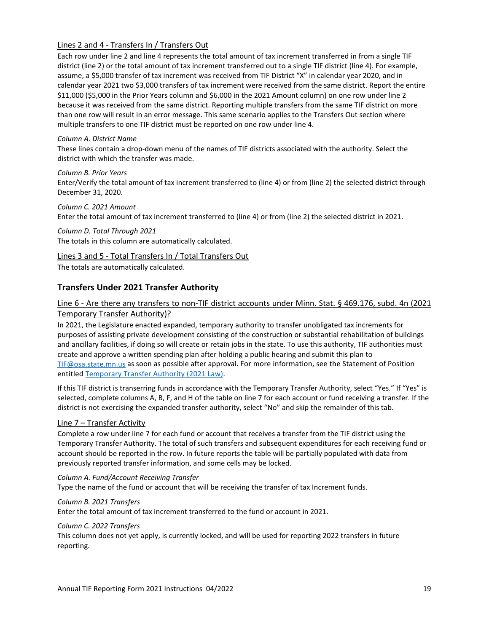# Lines 2 and 4 - Transfers In / Transfers Out

Each row under line 2 and line 4 represents the total amount of tax increment transferred in from a single TIF district (line 2) or the total amount of tax increment transferred out to a single TIF district (line 4). For example, assume, a \$5,000 transfer of tax increment was received from TIF District "X" in calendar year 2020, and in calendar year 2021 two \$3,000 transfers of tax increment were received from the same district. Report the entire \$11,000 (\$5,000 in the Prior Years column and \$6,000 in the 2021 Amount column) on one row under line 2 because it was received from the same district. Reporting multiple transfers from the same TIF district on more than one row will result in an error message. This same scenario applies to the Transfers Out section where multiple transfers to one TIF district must be reported on one row under line 4.

#### *Column A. District Name*

These lines contain a drop-down menu of the names of TIF districts associated with the authority. Select the district with which the transfer was made.

#### *Column B. Prior Years*

Enter/Verify the total amount of tax increment transferred to (line 4) or from (line 2) the selected district through December 31, 2020.

*Column C. 2021 Amount* Enter the total amount of tax increment transferred to (line 4) or from (line 2) the selected district in 2021.

*Column D. Total Through 2021* The totals in this column are automatically calculated.

#### Lines 3 and 5 - Total Transfers In / Total Transfers Out

The totals are automatically calculated.

# **Transfers Under 2021 Transfer Authority**

# Line 6 - Are there any transfers to non-TIF district accounts under Minn. Stat. § 469.176, subd. 4n (2021 Temporary Transfer Authority)?

In 2021, the Legislature enacted expanded, temporary authority to transfer unobligated tax increments for purposes of assisting private development consisting of the construction or substantial rehabilitation of buildings and ancillary facilities, if doing so will create or retain jobs in the state. To use this authority, TIF authorities must create and approve a written spending plan after holding a public hearing and submit this plan to [TIF@osa.state.mn.us](mailto:TIF@osa.state.mn.us) as soon as possible after approval. For more information, see the Statement of Position entitled [Temporary Transfer Authority \(2021 Law\).](https://www.osa.state.mn.us/media/3rdd1jma/temporary-transfer-authority-statement.pdf)

If this TIF district is transerring funds in accordance with the Temporary Transfer Authority, select "Yes." If "Yes" is selected, complete columns A, B, F, and H of the table on line 7 for each account or fund receiving a transfer. If the district is not exercising the expanded transfer authority, select "No" and skip the remainder of this tab.

#### Line 7 – Transfer Activity

Complete a row under line 7 for each fund or account that receives a transfer from the TIF district using the Temporary Transfer Authority. The total of such transfers and subsequent expenditures for each receiving fund or account should be reported in the row. In future reports the table will be partially populated with data from previously reported transfer information, and some cells may be locked.

#### *Column A. Fund/Account Receiving Transfer*

Type the name of the fund or account that will be receiving the transfer of tax Increment funds.

#### *Column B. 2021 Transfers*

Enter the total amount of tax increment transferred to the fund or account in 2021.

#### *Column C. 2022 Transfers*

This column does not yet apply, is currently locked, and will be used for reporting 2022 transfers in future reporting.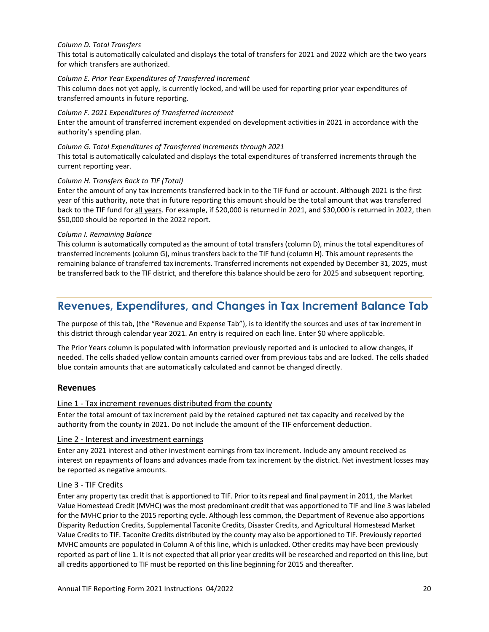#### *Column D. Total Transfers*

This total is automatically calculated and displays the total of transfers for 2021 and 2022 which are the two years for which transfers are authorized.

#### *Column E. Prior Year Expenditures of Transferred Increment*

This column does not yet apply, is currently locked, and will be used for reporting prior year expenditures of transferred amounts in future reporting.

#### *Column F. 2021 Expenditures of Transferred Increment*

Enter the amount of transferred increment expended on development activities in 2021 in accordance with the authority's spending plan.

#### *Column G. Total Expenditures of Transferred Increments through 2021*

This total is automatically calculated and displays the total expenditures of transferred increments through the current reporting year.

#### *Column H. Transfers Back to TIF (Total)*

Enter the amount of any tax increments transferred back in to the TIF fund or account. Although 2021 is the first year of this authority, note that in future reporting this amount should be the total amount that was transferred back to the TIF fund for all years. For example, if \$20,000 is returned in 2021, and \$30,000 is returned in 2022, then \$50,000 should be reported in the 2022 report.

#### *Column I. Remaining Balance*

<span id="page-19-0"></span>This column is automatically computed as the amount of total transfers (column D), minus the total expenditures of transferred increments (column G), minus transfers back to the TIF fund (column H). This amount represents the remaining balance of transferred tax increments. Transferred increments not expended by December 31, 2025, must be transferred back to the TIF district, and therefore this balance should be zero for 2025 and subsequent reporting.

# **Revenues, Expenditures, and Changes in Tax Increment Balance Tab**

The purpose of this tab, (the "Revenue and Expense Tab"), is to identify the sources and uses of tax increment in this district through calendar year 2021. An entry is required on each line. Enter \$0 where applicable.

The Prior Years column is populated with information previously reported and is unlocked to allow changes, if needed. The cells shaded yellow contain amounts carried over from previous tabs and are locked. The cells shaded blue contain amounts that are automatically calculated and cannot be changed directly.

# **Revenues**

#### Line 1 - Tax increment revenues distributed from the county

Enter the total amount of tax increment paid by the retained captured net tax capacity and received by the authority from the county in 2021. Do not include the amount of the TIF enforcement deduction.

#### Line 2 - Interest and investment earnings

Enter any 2021 interest and other investment earnings from tax increment. Include any amount received as interest on repayments of loans and advances made from tax increment by the district. Net investment losses may be reported as negative amounts.

#### Line 3 - TIF Credits

Enter any property tax credit that is apportioned to TIF. Prior to its repeal and final payment in 2011, the Market Value Homestead Credit (MVHC) was the most predominant credit that was apportioned to TIF and line 3 was labeled for the MVHC prior to the 2015 reporting cycle. Although less common, the Department of Revenue also apportions Disparity Reduction Credits, Supplemental Taconite Credits, Disaster Credits, and Agricultural Homestead Market Value Credits to TIF. Taconite Credits distributed by the county may also be apportioned to TIF. Previously reported MVHC amounts are populated in Column A of this line, which is unlocked. Other credits may have been previously reported as part of line 1. It is not expected that all prior year credits will be researched and reported on this line, but all credits apportioned to TIF must be reported on this line beginning for 2015 and thereafter.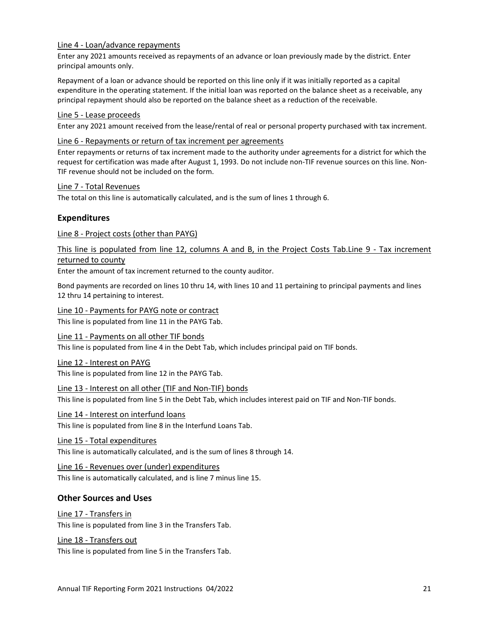#### Line 4 - Loan/advance repayments

Enter any 2021 amounts received as repayments of an advance or loan previously made by the district. Enter principal amounts only.

Repayment of a loan or advance should be reported on this line only if it was initially reported as a capital expenditure in the operating statement. If the initial loan was reported on the balance sheet as a receivable, any principal repayment should also be reported on the balance sheet as a reduction of the receivable.

#### Line 5 - Lease proceeds

Enter any 2021 amount received from the lease/rental of real or personal property purchased with tax increment.

#### Line 6 - Repayments or return of tax increment per agreements

Enter repayments or returns of tax increment made to the authority under agreements for a district for which the request for certification was made after August 1, 1993. Do not include non-TIF revenue sources on this line. Non-TIF revenue should not be included on the form.

#### Line 7 - Total Revenues

The total on this line is automatically calculated, and is the sum of lines 1 through 6.

# **Expenditures**

#### Line 8 - Project costs (other than PAYG)

This line is populated from line 12, columns A and B, in the Project Costs Tab.Line 9 - Tax increment returned to county

Enter the amount of tax increment returned to the county auditor.

Bond payments are recorded on lines 10 thru 14, with lines 10 and 11 pertaining to principal payments and lines 12 thru 14 pertaining to interest.

#### Line 10 - Payments for PAYG note or contract

This line is populated from line 11 in the PAYG Tab.

#### Line 11 - Payments on all other TIF bonds

This line is populated from line 4 in the Debt Tab, which includes principal paid on TIF bonds.

#### Line 12 - Interest on PAYG

This line is populated from line 12 in the PAYG Tab.

#### Line 13 - Interest on all other (TIF and Non-TIF) bonds

This line is populated from line 5 in the Debt Tab, which includes interest paid on TIF and Non-TIF bonds.

#### Line 14 - Interest on interfund loans

This line is populated from line 8 in the Interfund Loans Tab.

#### Line 15 - Total expenditures

This line is automatically calculated, and is the sum of lines 8 through 14.

#### Line 16 - Revenues over (under) expenditures

This line is automatically calculated, and is line 7 minus line 15.

# **Other Sources and Uses**

# Line 17 - Transfers in

This line is populated from line 3 in the Transfers Tab.

# Line 18 - Transfers out

This line is populated from line 5 in the Transfers Tab.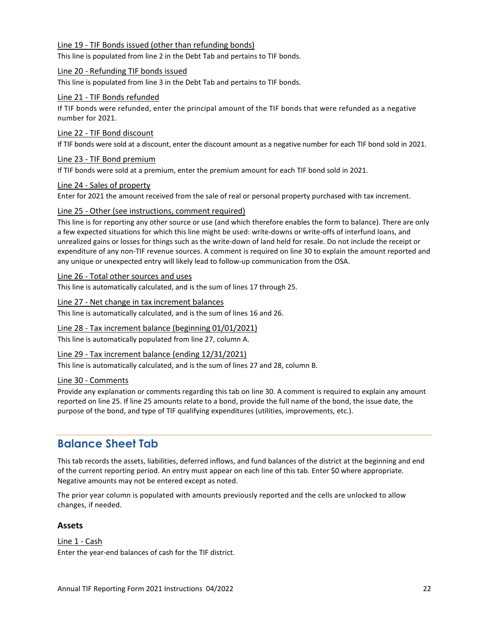#### Line 19 - TIF Bonds issued (other than refunding bonds)

This line is populated from line 2 in the Debt Tab and pertains to TIF bonds.

#### Line 20 - Refunding TIF bonds issued

This line is populated from line 3 in the Debt Tab and pertains to TIF bonds.

#### Line 21 - TIF Bonds refunded

If TIF bonds were refunded, enter the principal amount of the TIF bonds that were refunded as a negative number for 2021.

#### Line 22 - TIF Bond discount

If TIF bonds were sold at a discount, enter the discount amount as a negative number for each TIF bond sold in 2021.

#### Line 23 - TIF Bond premium

If TIF bonds were sold at a premium, enter the premium amount for each TIF bond sold in 2021.

#### Line 24 - Sales of property

Enter for 2021 the amount received from the sale of real or personal property purchased with tax increment.

#### Line 25 - Other (see instructions, comment required)

This line is for reporting any other source or use (and which therefore enables the form to balance). There are only a few expected situations for which this line might be used: write-downs or write-offs of interfund loans, and unrealized gains or losses for things such as the write-down of land held for resale. Do not include the receipt or expenditure of any non-TIF revenue sources. A comment is required on line 30 to explain the amount reported and any unique or unexpected entry will likely lead to follow-up communication from the OSA.

#### Line 26 - Total other sources and uses

This line is automatically calculated, and is the sum of lines 17 through 25.

#### Line 27 - Net change in tax increment balances

This line is automatically calculated, and is the sum of lines 16 and 26.

Line 28 - Tax increment balance (beginning 01/01/2021)

This line is automatically populated from line 27, column A.

# Line 29 - Tax increment balance (ending 12/31/2021)

This line is automatically calculated, and is the sum of lines 27 and 28, column B.

#### Line 30 - Comments

Provide any explanation or comments regarding this tab on line 30. A comment is required to explain any amount reported on line 25. If line 25 amounts relate to a bond, provide the full name of the bond, the issue date, the purpose of the bond, and type of TIF qualifying expenditures (utilities, improvements, etc.).

# <span id="page-21-0"></span>**Balance Sheet Tab**

This tab records the assets, liabilities, deferred inflows, and fund balances of the district at the beginning and end of the current reporting period. An entry must appear on each line of this tab. Enter \$0 where appropriate. Negative amounts may not be entered except as noted.

The prior year column is populated with amounts previously reported and the cells are unlocked to allow changes, if needed.

#### **Assets**

Line 1 - Cash Enter the year-end balances of cash for the TIF district.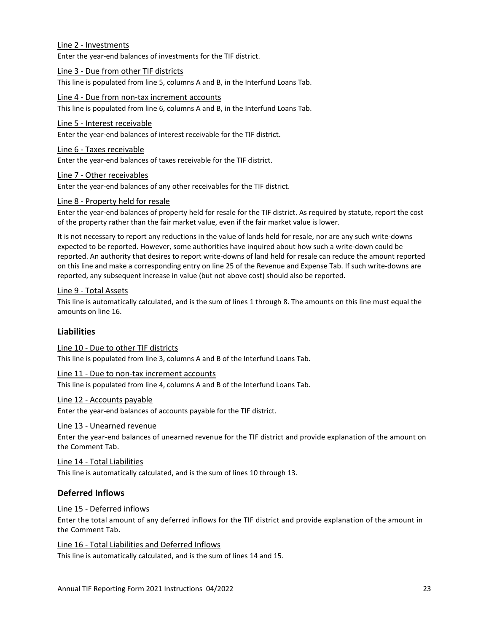#### Line 2 - Investments

Enter the year-end balances of investments for the TIF district.

#### Line 3 - Due from other TIF districts

This line is populated from line 5, columns A and B, in the Interfund Loans Tab.

#### Line 4 - Due from non-tax increment accounts

This line is populated from line 6, columns A and B, in the Interfund Loans Tab.

#### Line 5 - Interest receivable

Enter the year-end balances of interest receivable for the TIF district.

#### Line 6 - Taxes receivable

Enter the year-end balances of taxes receivable for the TIF district.

#### Line 7 - Other receivables

Enter the year-end balances of any other receivables for the TIF district.

#### Line 8 - Property held for resale

Enter the year-end balances of property held for resale for the TIF district. As required by statute, report the cost of the property rather than the fair market value, even if the fair market value is lower.

It is not necessary to report any reductions in the value of lands held for resale, nor are any such write-downs expected to be reported. However, some authorities have inquired about how such a write-down could be reported. An authority that desires to report write-downs of land held for resale can reduce the amount reported on this line and make a corresponding entry on line 25 of the Revenue and Expense Tab. If such write-downs are reported, any subsequent increase in value (but not above cost) should also be reported.

#### Line 9 - Total Assets

This line is automatically calculated, and is the sum of lines 1 through 8. The amounts on this line must equal the amounts on line 16.

#### **Liabilities**

Line 10 - Due to other TIF districts This line is populated from line 3, columns A and B of the Interfund Loans Tab.

# Line 11 - Due to non-tax increment accounts

This line is populated from line 4, columns A and B of the Interfund Loans Tab.

#### Line 12 - Accounts payable

Enter the year-end balances of accounts payable for the TIF district.

#### Line 13 - Unearned revenue

Enter the year-end balances of unearned revenue for the TIF district and provide explanation of the amount on the Comment Tab.

#### Line 14 - Total Liabilities

This line is automatically calculated, and is the sum of lines 10 through 13.

# **Deferred Inflows**

#### Line 15 - Deferred inflows

Enter the total amount of any deferred inflows for the TIF district and provide explanation of the amount in the Comment Tab.

Line 16 - Total Liabilities and Deferred Inflows This line is automatically calculated, and is the sum of lines 14 and 15.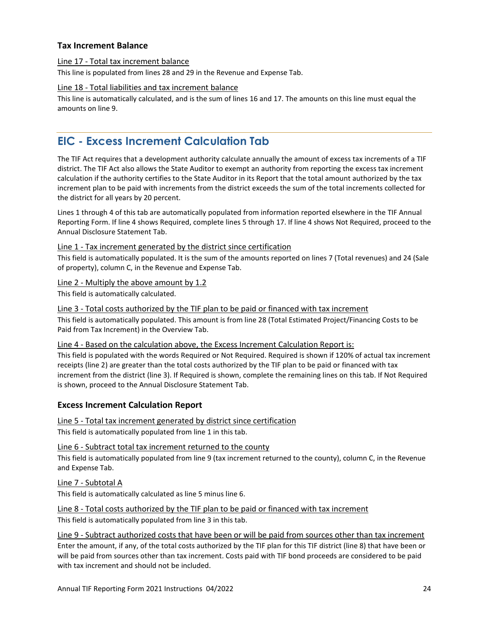# **Tax Increment Balance**

#### Line 17 - Total tax increment balance

This line is populated from lines 28 and 29 in the Revenue and Expense Tab.

# Line 18 - Total liabilities and tax increment balance

This line is automatically calculated, and is the sum of lines 16 and 17. The amounts on this line must equal the amounts on line 9.

# <span id="page-23-0"></span>**EIC - Excess Increment Calculation Tab**

The TIF Act requires that a development authority calculate annually the amount of excess tax increments of a TIF district. The TIF Act also allows the State Auditor to exempt an authority from reporting the excess tax increment calculation if the authority certifies to the State Auditor in its Report that the total amount authorized by the tax increment plan to be paid with increments from the district exceeds the sum of the total increments collected for the district for all years by 20 percent.

Lines 1 through 4 of this tab are automatically populated from information reported elsewhere in the TIF Annual Reporting Form. If line 4 shows Required, complete lines 5 through 17. If line 4 shows Not Required, proceed to the Annual Disclosure Statement Tab.

# Line 1 - Tax increment generated by the district since certification

This field is automatically populated. It is the sum of the amounts reported on lines 7 (Total revenues) and 24 (Sale of property), column C, in the Revenue and Expense Tab.

Line 2 - Multiply the above amount by 1.2

This field is automatically calculated.

# Line 3 - Total costs authorized by the TIF plan to be paid or financed with tax increment

This field is automatically populated. This amount is from line 28 (Total Estimated Project/Financing Costs to be Paid from Tax Increment) in the Overview Tab.

#### Line 4 - Based on the calculation above, the Excess Increment Calculation Report is:

This field is populated with the words Required or Not Required. Required is shown if 120% of actual tax increment receipts (line 2) are greater than the total costs authorized by the TIF plan to be paid or financed with tax increment from the district (line 3). If Required is shown, complete the remaining lines on this tab. If Not Required is shown, proceed to the Annual Disclosure Statement Tab.

# **Excess Increment Calculation Report**

# Line 5 - Total tax increment generated by district since certification

This field is automatically populated from line 1 in this tab.

Line 6 - Subtract total tax increment returned to the county

This field is automatically populated from line 9 (tax increment returned to the county), column C, in the Revenue and Expense Tab.

Line 7 - Subtotal A

This field is automatically calculated as line 5 minus line 6.

Line 8 - Total costs authorized by the TIF plan to be paid or financed with tax increment This field is automatically populated from line 3 in this tab.

Line 9 - Subtract authorized costs that have been or will be paid from sources other than tax increment Enter the amount, if any, of the total costs authorized by the TIF plan for this TIF district (line 8) that have been or will be paid from sources other than tax increment. Costs paid with TIF bond proceeds are considered to be paid with tax increment and should not be included.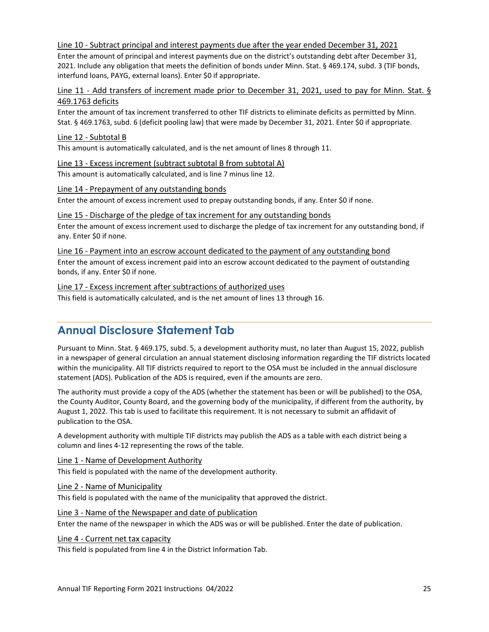Line 10 - Subtract principal and interest payments due after the year ended December 31, 2021

Enter the amount of principal and interest payments due on the district's outstanding debt after December 31, 2021. Include any obligation that meets the definition of bonds under Minn. Stat. § 469.174, subd. 3 (TIF bonds, interfund loans, PAYG, external loans). Enter \$0 if appropriate.

Line 11 - Add transfers of increment made prior to December 31, 2021, used to pay for Minn. Stat. § 469.1763 deficits

Enter the amount of tax increment transferred to other TIF districts to eliminate deficits as permitted by Minn. Stat. § 469.1763, subd. 6 (deficit pooling law) that were made by December 31, 2021. Enter \$0 if appropriate.

#### Line 12 - Subtotal B

This amount is automatically calculated, and is the net amount of lines 8 through 11.

#### Line 13 - Excess increment (subtract subtotal B from subtotal A)

This amount is automatically calculated, and is line 7 minus line 12.

#### Line 14 - Prepayment of any outstanding bonds

Enter the amount of excess increment used to prepay outstanding bonds, if any. Enter \$0 if none.

#### Line 15 - Discharge of the pledge of tax increment for any outstanding bonds

Enter the amount of excess increment used to discharge the pledge of tax increment for any outstanding bond, if any. Enter \$0 if none.

Line 16 - Payment into an escrow account dedicated to the payment of any outstanding bond Enter the amount of excess increment paid into an escrow account dedicated to the payment of outstanding bonds, if any. Enter \$0 if none.

#### Line 17 - Excess increment after subtractions of authorized uses

<span id="page-24-0"></span>This field is automatically calculated, and is the net amount of lines 13 through 16.

# **Annual Disclosure Statement Tab**

Pursuant to Minn. Stat. § 469.175, subd. 5, a development authority must, no later than August 15, 2022, publish in a newspaper of general circulation an annual statement disclosing information regarding the TIF districts located within the municipality. All TIF districts required to report to the OSA must be included in the annual disclosure statement (ADS). Publication of the ADS is required, even if the amounts are zero.

The authority must provide a copy of the ADS (whether the statement has been or will be published) to the OSA, the County Auditor, County Board, and the governing body of the municipality, if different from the authority, by August 1, 2022. This tab is used to facilitate this requirement. It is not necessary to submit an affidavit of publication to the OSA.

A development authority with multiple TIF districts may publish the ADS as a table with each district being a column and lines 4-12 representing the rows of the table.

# Line 1 - Name of Development Authority

This field is populated with the name of the development authority.

#### Line 2 - Name of Municipality

This field is populated with the name of the municipality that approved the district.

# Line 3 - Name of the Newspaper and date of publication

Enter the name of the newspaper in which the ADS was or will be published. Enter the date of publication.

#### Line 4 - Current net tax capacity

This field is populated from line 4 in the District Information Tab.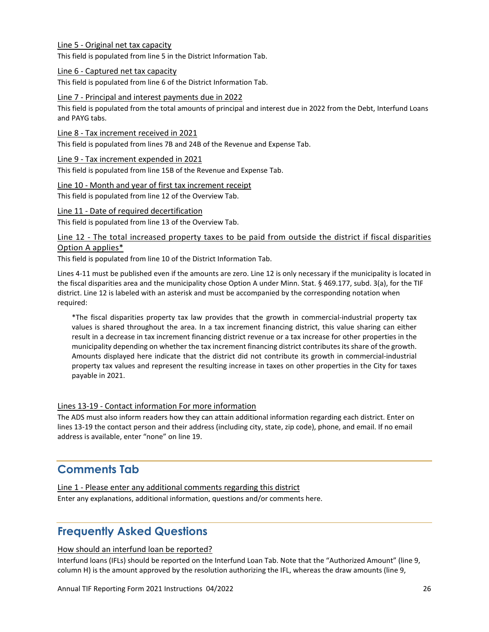#### Line 5 - Original net tax capacity

This field is populated from line 5 in the District Information Tab.

#### Line 6 - Captured net tax capacity

This field is populated from line 6 of the District Information Tab.

#### Line 7 - Principal and interest payments due in 2022

This field is populated from the total amounts of principal and interest due in 2022 from the Debt, Interfund Loans and PAYG tabs.

#### Line 8 - Tax increment received in 2021

This field is populated from lines 7B and 24B of the Revenue and Expense Tab.

#### Line 9 - Tax increment expended in 2021

This field is populated from line 15B of the Revenue and Expense Tab.

#### Line 10 - Month and year of first tax increment receipt

This field is populated from line 12 of the Overview Tab.

#### Line 11 - Date of required decertification

This field is populated from line 13 of the Overview Tab.

# Line 12 - The total increased property taxes to be paid from outside the district if fiscal disparities Option A applies\*

This field is populated from line 10 of the District Information Tab.

Lines 4-11 must be published even if the amounts are zero. Line 12 is only necessary if the municipality is located in the fiscal disparities area and the municipality chose Option A under Minn. Stat. § 469.177, subd. 3(a), for the TIF district. Line 12 is labeled with an asterisk and must be accompanied by the corresponding notation when required:

\*The fiscal disparities property tax law provides that the growth in commercial-industrial property tax values is shared throughout the area. In a tax increment financing district, this value sharing can either result in a decrease in tax increment financing district revenue or a tax increase for other properties in the municipality depending on whether the tax increment financing district contributes its share of the growth. Amounts displayed here indicate that the district did not contribute its growth in commercial-industrial property tax values and represent the resulting increase in taxes on other properties in the City for taxes payable in 2021.

#### Lines 13-19 - Contact information For more information

The ADS must also inform readers how they can attain additional information regarding each district. Enter on lines 13-19 the contact person and their address (including city, state, zip code), phone, and email. If no email address is available, enter "none" on line 19.

# <span id="page-25-0"></span>**Comments Tab**

Line 1 - Please enter any additional comments regarding this district Enter any explanations, additional information, questions and/or comments here.

# <span id="page-25-1"></span>**Frequently Asked Questions**

#### How should an interfund loan be reported?

Interfund loans (IFLs) should be reported on the Interfund Loan Tab. Note that the "Authorized Amount" (line 9, column H) is the amount approved by the resolution authorizing the IFL, whereas the draw amounts (line 9,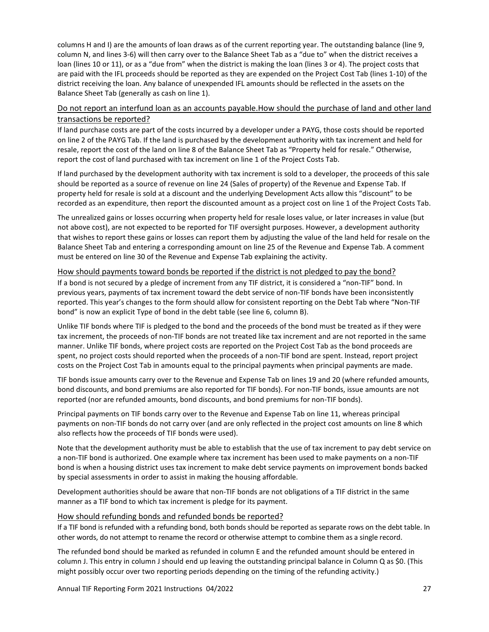columns H and I) are the amounts of loan draws as of the current reporting year. The outstanding balance (line 9, column N, and lines 3-6) will then carry over to the Balance Sheet Tab as a "due to" when the district receives a loan (lines 10 or 11), or as a "due from" when the district is making the loan (lines 3 or 4). The project costs that are paid with the IFL proceeds should be reported as they are expended on the Project Cost Tab (lines 1-10) of the district receiving the loan. Any balance of unexpended IFL amounts should be reflected in the assets on the Balance Sheet Tab (generally as cash on line 1).

# Do not report an interfund loan as an accounts payable.How should the purchase of land and other land transactions be reported?

If land purchase costs are part of the costs incurred by a developer under a PAYG, those costs should be reported on line 2 of the PAYG Tab. If the land is purchased by the development authority with tax increment and held for resale, report the cost of the land on line 8 of the Balance Sheet Tab as "Property held for resale." Otherwise, report the cost of land purchased with tax increment on line 1 of the Project Costs Tab.

If land purchased by the development authority with tax increment is sold to a developer, the proceeds of this sale should be reported as a source of revenue on line 24 (Sales of property) of the Revenue and Expense Tab. If property held for resale is sold at a discount and the underlying Development Acts allow this "discount" to be recorded as an expenditure, then report the discounted amount as a project cost on line 1 of the Project Costs Tab.

The unrealized gains or losses occurring when property held for resale loses value, or later increases in value (but not above cost), are not expected to be reported for TIF oversight purposes. However, a development authority that wishes to report these gains or losses can report them by adjusting the value of the land held for resale on the Balance Sheet Tab and entering a corresponding amount on line 25 of the Revenue and Expense Tab. A comment must be entered on line 30 of the Revenue and Expense Tab explaining the activity.

# How should payments toward bonds be reported if the district is not pledged to pay the bond?

If a bond is not secured by a pledge of increment from any TIF district, it is considered a "non-TIF" bond. In previous years, payments of tax increment toward the debt service of non-TIF bonds have been inconsistently reported. This year's changes to the form should allow for consistent reporting on the Debt Tab where "Non-TIF bond" is now an explicit Type of bond in the debt table (see line 6, column B).

Unlike TIF bonds where TIF is pledged to the bond and the proceeds of the bond must be treated as if they were tax increment, the proceeds of non-TIF bonds are not treated like tax increment and are not reported in the same manner. Unlike TIF bonds, where project costs are reported on the Project Cost Tab as the bond proceeds are spent, no project costs should reported when the proceeds of a non-TIF bond are spent. Instead, report project costs on the Project Cost Tab in amounts equal to the principal payments when principal payments are made.

TIF bonds issue amounts carry over to the Revenue and Expense Tab on lines 19 and 20 (where refunded amounts, bond discounts, and bond premiums are also reported for TIF bonds). For non-TIF bonds, issue amounts are not reported (nor are refunded amounts, bond discounts, and bond premiums for non-TIF bonds).

Principal payments on TIF bonds carry over to the Revenue and Expense Tab on line 11, whereas principal payments on non-TIF bonds do not carry over (and are only reflected in the project cost amounts on line 8 which also reflects how the proceeds of TIF bonds were used).

Note that the development authority must be able to establish that the use of tax increment to pay debt service on a non-TIF bond is authorized. One example where tax increment has been used to make payments on a non-TIF bond is when a housing district uses tax increment to make debt service payments on improvement bonds backed by special assessments in order to assist in making the housing affordable.

Development authorities should be aware that non-TIF bonds are not obligations of a TIF district in the same manner as a TIF bond to which tax increment is pledge for its payment.

#### How should refunding bonds and refunded bonds be reported?

If a TIF bond is refunded with a refunding bond, both bonds should be reported as separate rows on the debt table. In other words, do not attempt to rename the record or otherwise attempt to combine them as a single record.

The refunded bond should be marked as refunded in column E and the refunded amount should be entered in column J. This entry in column J should end up leaving the outstanding principal balance in Column Q as \$0. (This might possibly occur over two reporting periods depending on the timing of the refunding activity.)